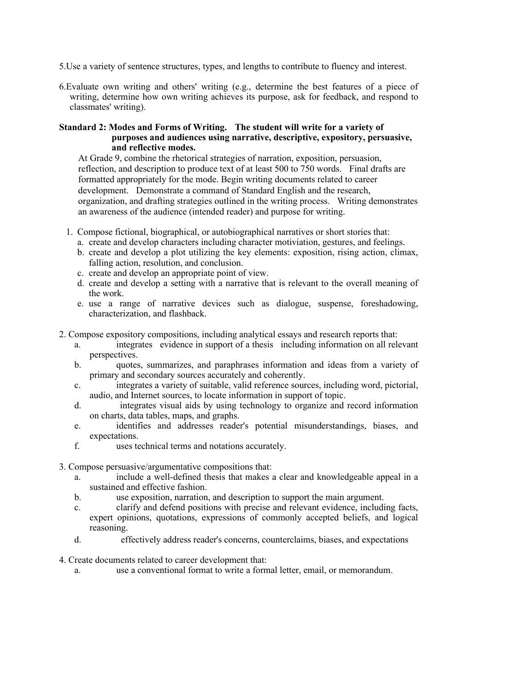- 5.Use a variety of sentence structures, types, and lengths to contribute to fluency and interest.
- 6.Evaluate own writing and others' writing (e.g., determine the best features of a piece of writing, determine how own writing achieves its purpose, ask for feedback, and respond to classmates' writing).

#### **Standard 2: Modes and Forms of Writing. The student will write for a variety of purposes and audiences using narrative, descriptive, expository, persuasive, and reflective modes.**

At Grade 9, combine the rhetorical strategies of narration, exposition, persuasion, reflection, and description to produce text of at least 500 to 750 words. Final drafts are formatted appropriately for the mode. Begin writing documents related to career development. Demonstrate a command of Standard English and the research, organization, and drafting strategies outlined in the writing process. Writing demonstrates an awareness of the audience (intended reader) and purpose for writing.

- 1. Compose fictional, biographical, or autobiographical narratives or short stories that:
	- a. create and develop characters including character motiviation, gestures, and feelings.
	- b. create and develop a plot utilizing the key elements: exposition, rising action, climax, falling action, resolution, and conclusion.
	- c. create and develop an appropriate point of view.
	- d. create and develop a setting with a narrative that is relevant to the overall meaning of the work.
	- e. use a range of narrative devices such as dialogue, suspense, foreshadowing, characterization, and flashback.
- 2. Compose expository compositions, including analytical essays and research reports that:
	- a. integrates evidence in support of a thesis including information on all relevant perspectives.
	- b. quotes, summarizes, and paraphrases information and ideas from a variety of primary and secondary sources accurately and coherently.
	- c. integrates a variety of suitable, valid reference sources, including word, pictorial, audio, and Internet sources, to locate information in support of topic.
	- d. integrates visual aids by using technology to organize and record information on charts, data tables, maps, and graphs.
	- e. identifies and addresses reader's potential misunderstandings, biases, and expectations.
	- f. uses technical terms and notations accurately.
- 3. Compose persuasive/argumentative compositions that:
	- a. include a well-defined thesis that makes a clear and knowledgeable appeal in a sustained and effective fashion.
	- b. use exposition, narration, and description to support the main argument.
	- c. clarify and defend positions with precise and relevant evidence, including facts, expert opinions, quotations, expressions of commonly accepted beliefs, and logical reasoning.
	- d. effectively address reader's concerns, counterclaims, biases, and expectations
- 4. Create documents related to career development that:
	- a. use a conventional format to write a formal letter, email, or memorandum.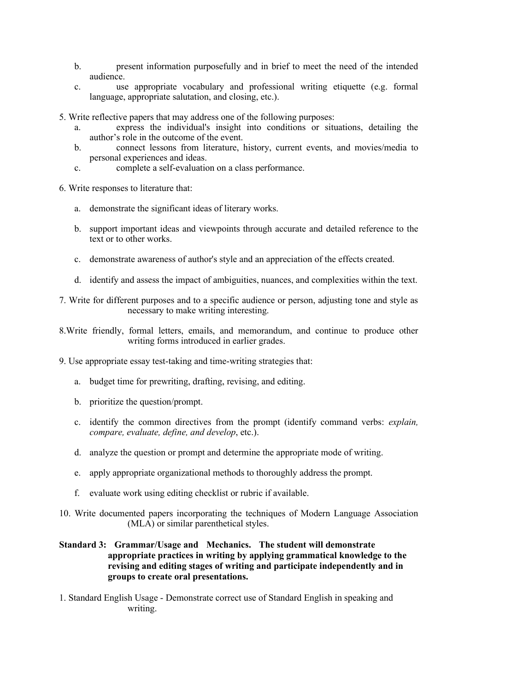- b. present information purposefully and in brief to meet the need of the intended audience.
- c. use appropriate vocabulary and professional writing etiquette (e.g. formal language, appropriate salutation, and closing, etc.).
- 5. Write reflective papers that may address one of the following purposes:
	- a. express the individual's insight into conditions or situations, detailing the author's role in the outcome of the event.
	- b. connect lessons from literature, history, current events, and movies/media to personal experiences and ideas.
	- c. complete a self-evaluation on a class performance.
- 6. Write responses to literature that:
	- a. demonstrate the significant ideas of literary works.
	- b. support important ideas and viewpoints through accurate and detailed reference to the text or to other works.
	- c. demonstrate awareness of author's style and an appreciation of the effects created.
	- d. identify and assess the impact of ambiguities, nuances, and complexities within the text.
- 7. Write for different purposes and to a specific audience or person, adjusting tone and style as necessary to make writing interesting.
- 8.Write friendly, formal letters, emails, and memorandum, and continue to produce other writing forms introduced in earlier grades.
- 9. Use appropriate essay test-taking and time-writing strategies that:
	- a. budget time for prewriting, drafting, revising, and editing.
	- b. prioritize the question/prompt.
	- c. identify the common directives from the prompt (identify command verbs: *explain, compare, evaluate, define, and develop*, etc.).
	- d. analyze the question or prompt and determine the appropriate mode of writing.
	- e. apply appropriate organizational methods to thoroughly address the prompt.
	- f. evaluate work using editing checklist or rubric if available.
- 10. Write documented papers incorporating the techniques of Modern Language Association (MLA) or similar parenthetical styles.
- **Standard 3: Grammar/Usage and Mechanics. The student will demonstrate appropriate practices in writing by applying grammatical knowledge to the revising and editing stages of writing and participate independently and in groups to create oral presentations.**
- 1. Standard English Usage Demonstrate correct use of Standard English in speaking and writing.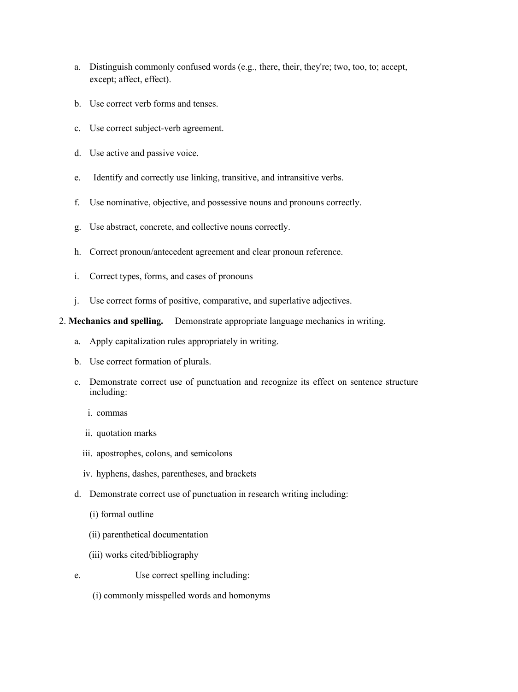- a. Distinguish commonly confused words (e.g., there, their, they're; two, too, to; accept, except; affect, effect).
- b. Use correct verb forms and tenses.
- c. Use correct subject-verb agreement.
- d. Use active and passive voice.
- e. Identify and correctly use linking, transitive, and intransitive verbs.
- f. Use nominative, objective, and possessive nouns and pronouns correctly.
- g. Use abstract, concrete, and collective nouns correctly.
- h. Correct pronoun/antecedent agreement and clear pronoun reference.
- i. Correct types, forms, and cases of pronouns
- j. Use correct forms of positive, comparative, and superlative adjectives.

### 2. **Mechanics and spelling.** Demonstrate appropriate language mechanics in writing.

- a. Apply capitalization rules appropriately in writing.
- b. Use correct formation of plurals.
- c. Demonstrate correct use of punctuation and recognize its effect on sentence structure including:
	- i. commas
	- ii. quotation marks
	- iii. apostrophes, colons, and semicolons
	- iv. hyphens, dashes, parentheses, and brackets
- d. Demonstrate correct use of punctuation in research writing including:
	- (i) formal outline
	- (ii) parenthetical documentation
	- (iii) works cited/bibliography
- e. Use correct spelling including:
	- (i) commonly misspelled words and homonyms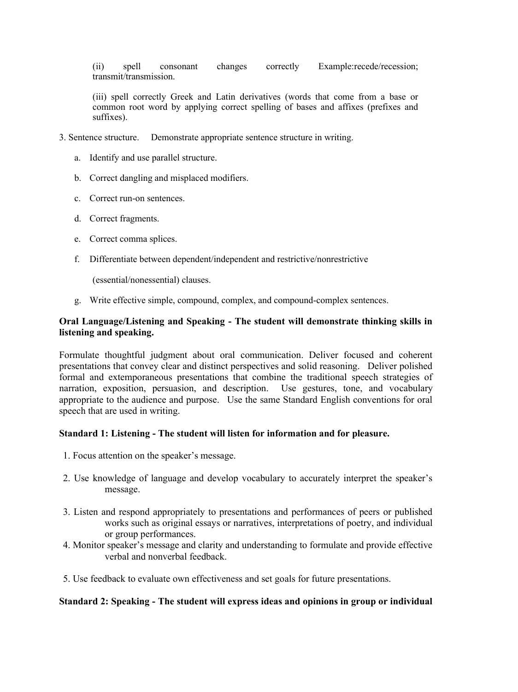(ii) spell consonant changes correctly Example:recede/recession; transmit/transmission.

(iii) spell correctly Greek and Latin derivatives (words that come from a base or common root word by applying correct spelling of bases and affixes (prefixes and suffixes).

- 3. Sentence structure.Demonstrate appropriate sentence structure in writing.
	- a. Identify and use parallel structure.
	- b. Correct dangling and misplaced modifiers.
	- c. Correct run-on sentences.
	- d. Correct fragments.
	- e. Correct comma splices.
	- f. Differentiate between dependent/independent and restrictive/nonrestrictive

(essential/nonessential) clauses.

g. Write effective simple, compound, complex, and compound-complex sentences.

### **Oral Language/Listening and Speaking - The student will demonstrate thinking skills in listening and speaking.**

Formulate thoughtful judgment about oral communication. Deliver focused and coherent presentations that convey clear and distinct perspectives and solid reasoning. Deliver polished formal and extemporaneous presentations that combine the traditional speech strategies of narration, exposition, persuasion, and description. Use gestures, tone, and vocabulary appropriate to the audience and purpose. Use the same Standard English conventions for oral speech that are used in writing.

#### **Standard 1: Listening - The student will listen for information and for pleasure.**

- 1. Focus attention on the speaker's message.
- 2. Use knowledge of language and develop vocabulary to accurately interpret the speaker's message.
- 3. Listen and respond appropriately to presentations and performances of peers or published works such as original essays or narratives, interpretations of poetry, and individual or group performances.
- 4. Monitor speaker's message and clarity and understanding to formulate and provide effective verbal and nonverbal feedback.
- 5. Use feedback to evaluate own effectiveness and set goals for future presentations.

#### **Standard 2: Speaking - The student will express ideas and opinions in group or individual**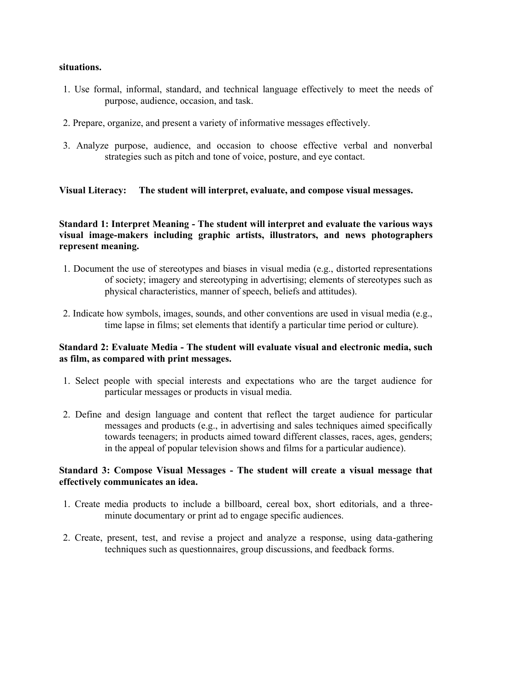#### **situations.**

- 1. Use formal, informal, standard, and technical language effectively to meet the needs of purpose, audience, occasion, and task.
- 2. Prepare, organize, and present a variety of informative messages effectively.
- 3. Analyze purpose, audience, and occasion to choose effective verbal and nonverbal strategies such as pitch and tone of voice, posture, and eye contact.

# **Visual Literacy: The student will interpret, evaluate, and compose visual messages.**

## **Standard 1: Interpret Meaning - The student will interpret and evaluate the various ways visual image-makers including graphic artists, illustrators, and news photographers represent meaning.**

- 1. Document the use of stereotypes and biases in visual media (e.g., distorted representations of society; imagery and stereotyping in advertising; elements of stereotypes such as physical characteristics, manner of speech, beliefs and attitudes).
- 2. Indicate how symbols, images, sounds, and other conventions are used in visual media (e.g., time lapse in films; set elements that identify a particular time period or culture).

# **Standard 2: Evaluate Media - The student will evaluate visual and electronic media, such as film, as compared with print messages.**

- 1. Select people with special interests and expectations who are the target audience for particular messages or products in visual media.
- 2. Define and design language and content that reflect the target audience for particular messages and products (e.g., in advertising and sales techniques aimed specifically towards teenagers; in products aimed toward different classes, races, ages, genders; in the appeal of popular television shows and films for a particular audience).

### **Standard 3: Compose Visual Messages - The student will create a visual message that effectively communicates an idea.**

- 1. Create media products to include a billboard, cereal box, short editorials, and a threeminute documentary or print ad to engage specific audiences.
- 2. Create, present, test, and revise a project and analyze a response, using data-gathering techniques such as questionnaires, group discussions, and feedback forms.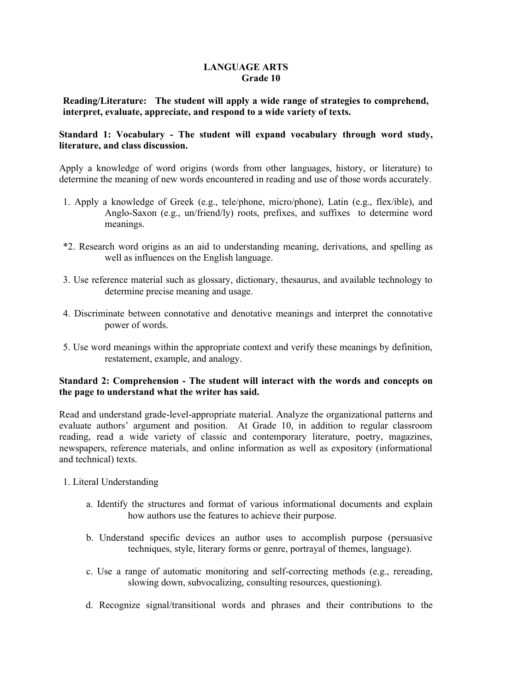### **LANGUAGE ARTS Grade 10**

**Reading/Literature: The student will apply a wide range of strategies to comprehend, interpret, evaluate, appreciate, and respond to a wide variety of texts.** 

### **Standard 1: Vocabulary - The student will expand vocabulary through word study, literature, and class discussion.**

Apply a knowledge of word origins (words from other languages, history, or literature) to determine the meaning of new words encountered in reading and use of those words accurately.

- 1. Apply a knowledge of Greek (e.g., tele/phone, micro/phone), Latin (e.g., flex/ible), and Anglo-Saxon (e.g., un/friend/ly) roots, prefixes, and suffixes to determine word meanings.
- \*2. Research word origins as an aid to understanding meaning, derivations, and spelling as well as influences on the English language.
- 3. Use reference material such as glossary, dictionary, thesaurus, and available technology to determine precise meaning and usage.
- 4. Discriminate between connotative and denotative meanings and interpret the connotative power of words.
- 5. Use word meanings within the appropriate context and verify these meanings by definition, restatement, example, and analogy.

# **Standard 2: Comprehension - The student will interact with the words and concepts on the page to understand what the writer has said.**

Read and understand grade-level-appropriate material. Analyze the organizational patterns and evaluate authors' argument and position. At Grade 10, in addition to regular classroom reading, read a wide variety of classic and contemporary literature, poetry, magazines, newspapers, reference materials, and online information as well as expository (informational and technical) texts.

- 1. Literal Understanding
	- a. Identify the structures and format of various informational documents and explain how authors use the features to achieve their purpose.
	- b. Understand specific devices an author uses to accomplish purpose (persuasive techniques, style, literary forms or genre, portrayal of themes, language).
	- c. Use a range of automatic monitoring and self-correcting methods (e.g., rereading, slowing down, subvocalizing, consulting resources, questioning).
	- d. Recognize signal/transitional words and phrases and their contributions to the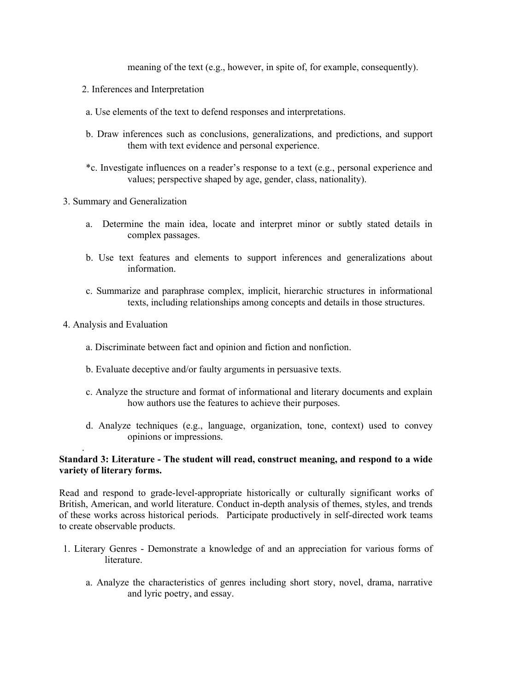meaning of the text (e.g., however, in spite of, for example, consequently).

- 2. Inferences and Interpretation
- a. Use elements of the text to defend responses and interpretations.
- b. Draw inferences such as conclusions, generalizations, and predictions, and support them with text evidence and personal experience.
- \*c. Investigate influences on a reader's response to a text (e.g., personal experience and values; perspective shaped by age, gender, class, nationality).
- 3. Summary and Generalization
	- a. Determine the main idea, locate and interpret minor or subtly stated details in complex passages.
	- b. Use text features and elements to support inferences and generalizations about information.
	- c. Summarize and paraphrase complex, implicit, hierarchic structures in informational texts, including relationships among concepts and details in those structures.
- 4. Analysis and Evaluation

.

- a. Discriminate between fact and opinion and fiction and nonfiction.
- b. Evaluate deceptive and/or faulty arguments in persuasive texts.
- c. Analyze the structure and format of informational and literary documents and explain how authors use the features to achieve their purposes.
- d. Analyze techniques (e.g., language, organization, tone, context) used to convey opinions or impressions.

### **Standard 3: Literature - The student will read, construct meaning, and respond to a wide variety of literary forms.**

Read and respond to grade-level-appropriate historically or culturally significant works of British, American, and world literature. Conduct in-depth analysis of themes, styles, and trends of these works across historical periods. Participate productively in self-directed work teams to create observable products.

- 1. Literary Genres Demonstrate a knowledge of and an appreciation for various forms of literature.
	- a. Analyze the characteristics of genres including short story, novel, drama, narrative and lyric poetry, and essay.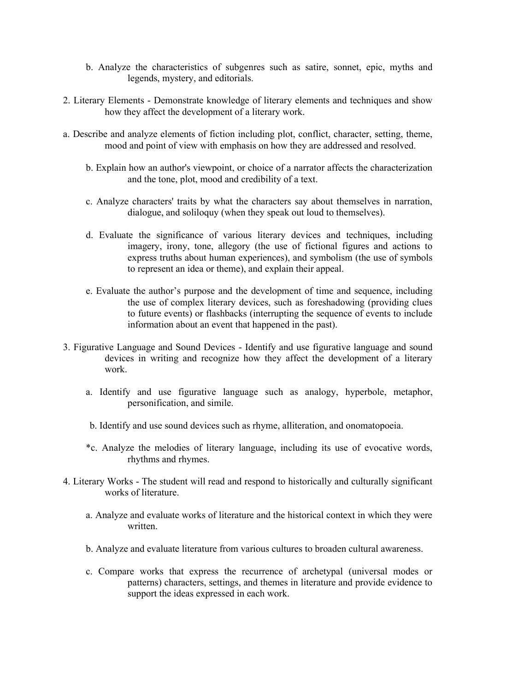- b. Analyze the characteristics of subgenres such as satire, sonnet, epic, myths and legends, mystery, and editorials.
- 2. Literary Elements Demonstrate knowledge of literary elements and techniques and show how they affect the development of a literary work.
- a. Describe and analyze elements of fiction including plot, conflict, character, setting, theme, mood and point of view with emphasis on how they are addressed and resolved.
	- b. Explain how an author's viewpoint, or choice of a narrator affects the characterization and the tone, plot, mood and credibility of a text.
	- c. Analyze characters' traits by what the characters say about themselves in narration, dialogue, and soliloquy (when they speak out loud to themselves).
	- d. Evaluate the significance of various literary devices and techniques, including imagery, irony, tone, allegory (the use of fictional figures and actions to express truths about human experiences), and symbolism (the use of symbols to represent an idea or theme), and explain their appeal.
	- e. Evaluate the author's purpose and the development of time and sequence, including the use of complex literary devices, such as foreshadowing (providing clues to future events) or flashbacks (interrupting the sequence of events to include information about an event that happened in the past).
- 3. Figurative Language and Sound Devices Identify and use figurative language and sound devices in writing and recognize how they affect the development of a literary work.
	- a. Identify and use figurative language such as analogy, hyperbole, metaphor, personification, and simile.
	- b. Identify and use sound devices such as rhyme, alliteration, and onomatopoeia.
	- \*c. Analyze the melodies of literary language, including its use of evocative words, rhythms and rhymes.
- 4. Literary Works The student will read and respond to historically and culturally significant works of literature.
	- a. Analyze and evaluate works of literature and the historical context in which they were written.
	- b. Analyze and evaluate literature from various cultures to broaden cultural awareness.
	- c. Compare works that express the recurrence of archetypal (universal modes or patterns) characters, settings, and themes in literature and provide evidence to support the ideas expressed in each work.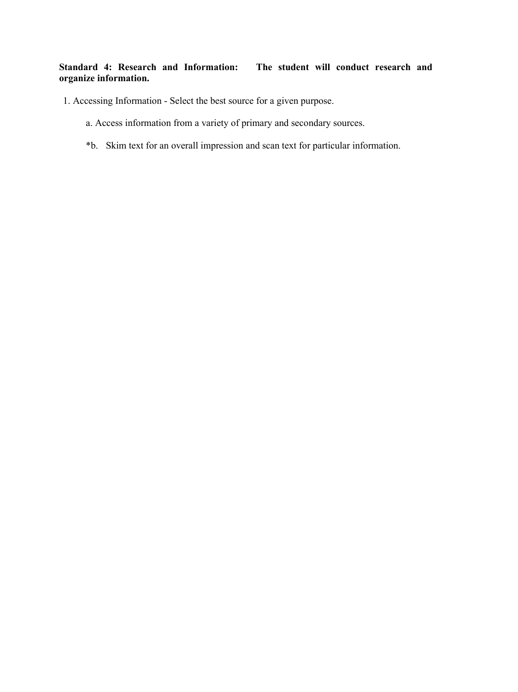# **Standard 4: Research and Information: The student will conduct research and organize information.**

- 1. Accessing Information Select the best source for a given purpose.
	- a. Access information from a variety of primary and secondary sources.
	- \*b. Skim text for an overall impression and scan text for particular information.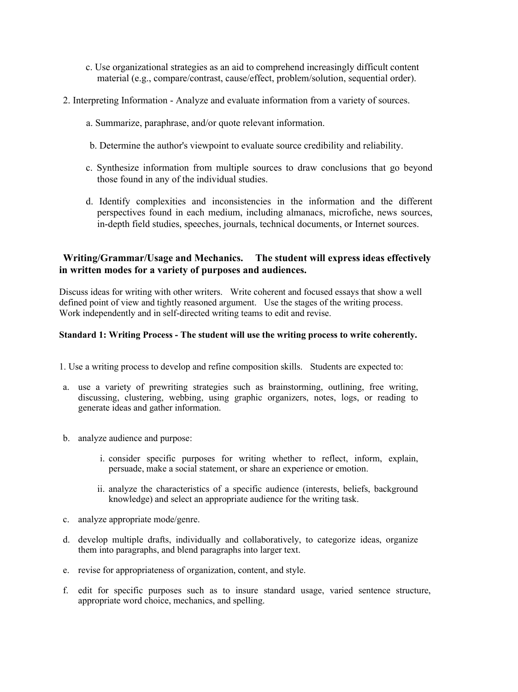- c. Use organizational strategies as an aid to comprehend increasingly difficult content material (e.g., compare/contrast, cause/effect, problem/solution, sequential order).
- 2. Interpreting Information Analyze and evaluate information from a variety of sources.
	- a. Summarize, paraphrase, and/or quote relevant information.
	- b. Determine the author's viewpoint to evaluate source credibility and reliability.
	- c. Synthesize information from multiple sources to draw conclusions that go beyond those found in any of the individual studies.
	- d. Identify complexities and inconsistencies in the information and the different perspectives found in each medium, including almanacs, microfiche, news sources, in-depth field studies, speeches, journals, technical documents, or Internet sources.

# **Writing/Grammar/Usage and Mechanics. The student will express ideas effectively in written modes for a variety of purposes and audiences.**

Discuss ideas for writing with other writers. Write coherent and focused essays that show a well defined point of view and tightly reasoned argument. Use the stages of the writing process. Work independently and in self-directed writing teams to edit and revise.

### **Standard 1: Writing Process - The student will use the writing process to write coherently.**

- 1. Use a writing process to develop and refine composition skills. Students are expected to:
- a. use a variety of prewriting strategies such as brainstorming, outlining, free writing, discussing, clustering, webbing, using graphic organizers, notes, logs, or reading to generate ideas and gather information.
- b. analyze audience and purpose:
	- i. consider specific purposes for writing whether to reflect, inform, explain, persuade, make a social statement, or share an experience or emotion.
	- ii. analyze the characteristics of a specific audience (interests, beliefs, background knowledge) and select an appropriate audience for the writing task.
- c. analyze appropriate mode/genre.
- d. develop multiple drafts, individually and collaboratively, to categorize ideas, organize them into paragraphs, and blend paragraphs into larger text.
- e. revise for appropriateness of organization, content, and style.
- f. edit for specific purposes such as to insure standard usage, varied sentence structure, appropriate word choice, mechanics, and spelling.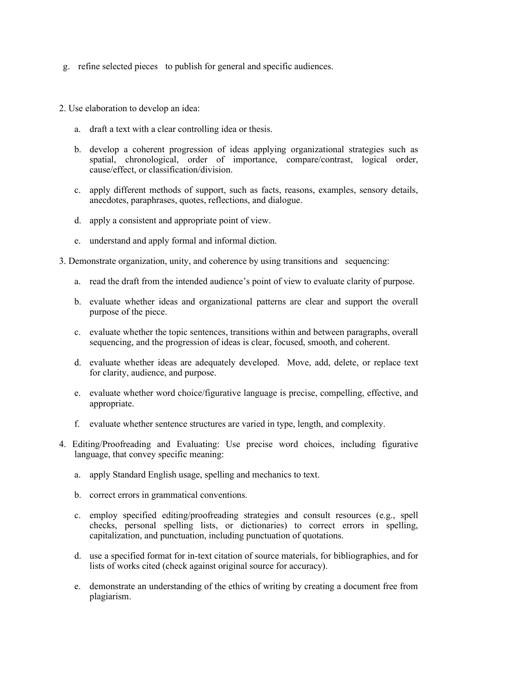- g. refine selected pieces to publish for general and specific audiences.
- 2. Use elaboration to develop an idea:
	- a. draft a text with a clear controlling idea or thesis.
	- b. develop a coherent progression of ideas applying organizational strategies such as spatial, chronological, order of importance, compare/contrast, logical order, cause/effect, or classification/division.
	- c. apply different methods of support, such as facts, reasons, examples, sensory details, anecdotes, paraphrases, quotes, reflections, and dialogue.
	- d. apply a consistent and appropriate point of view.
	- e. understand and apply formal and informal diction.
- 3. Demonstrate organization, unity, and coherence by using transitions and sequencing:
	- a. read the draft from the intended audience's point of view to evaluate clarity of purpose.
	- b. evaluate whether ideas and organizational patterns are clear and support the overall purpose of the piece.
	- c. evaluate whether the topic sentences, transitions within and between paragraphs, overall sequencing, and the progression of ideas is clear, focused, smooth, and coherent.
	- d. evaluate whether ideas are adequately developed. Move, add, delete, or replace text for clarity, audience, and purpose.
	- e. evaluate whether word choice/figurative language is precise, compelling, effective, and appropriate.
	- f. evaluate whether sentence structures are varied in type, length, and complexity.
- 4. Editing/Proofreading and Evaluating: Use precise word choices, including figurative language, that convey specific meaning:
	- a. apply Standard English usage, spelling and mechanics to text.
	- b. correct errors in grammatical conventions.
	- c. employ specified editing/proofreading strategies and consult resources (e.g., spell checks, personal spelling lists, or dictionaries) to correct errors in spelling, capitalization, and punctuation, including punctuation of quotations.
	- d. use a specified format for in-text citation of source materials, for bibliographies, and for lists of works cited (check against original source for accuracy).
	- e. demonstrate an understanding of the ethics of writing by creating a document free from plagiarism.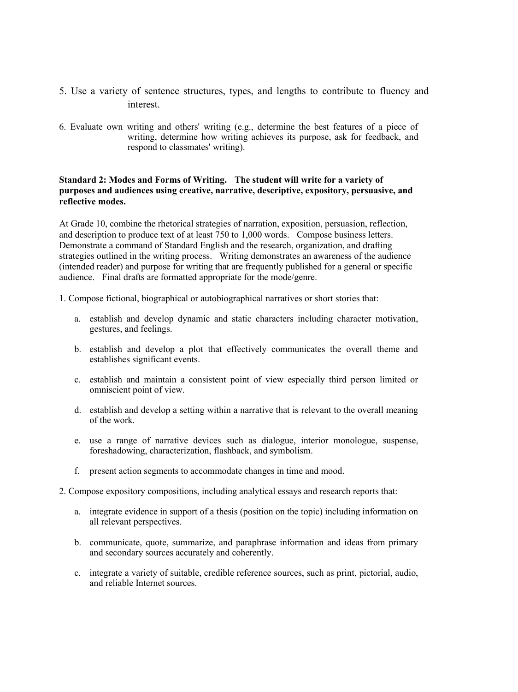- 5. Use a variety of sentence structures, types, and lengths to contribute to fluency and interest.
- 6. Evaluate own writing and others' writing (e.g., determine the best features of a piece of writing, determine how writing achieves its purpose, ask for feedback, and respond to classmates' writing).

#### **Standard 2: Modes and Forms of Writing. The student will write for a variety of purposes and audiences using creative, narrative, descriptive, expository, persuasive, and reflective modes.**

At Grade 10, combine the rhetorical strategies of narration, exposition, persuasion, reflection, and description to produce text of at least 750 to 1,000 words. Compose business letters. Demonstrate a command of Standard English and the research, organization, and drafting strategies outlined in the writing process. Writing demonstrates an awareness of the audience (intended reader) and purpose for writing that are frequently published for a general or specific audience. Final drafts are formatted appropriate for the mode/genre.

1. Compose fictional, biographical or autobiographical narratives or short stories that:

- a. establish and develop dynamic and static characters including character motivation, gestures, and feelings.
- b. establish and develop a plot that effectively communicates the overall theme and establishes significant events.
- c. establish and maintain a consistent point of view especially third person limited or omniscient point of view.
- d. establish and develop a setting within a narrative that is relevant to the overall meaning of the work.
- e. use a range of narrative devices such as dialogue, interior monologue, suspense, foreshadowing, characterization, flashback, and symbolism.
- f. present action segments to accommodate changes in time and mood.
- 2. Compose expository compositions, including analytical essays and research reports that:
	- a. integrate evidence in support of a thesis (position on the topic) including information on all relevant perspectives.
	- b. communicate, quote, summarize, and paraphrase information and ideas from primary and secondary sources accurately and coherently.
	- c. integrate a variety of suitable, credible reference sources, such as print, pictorial, audio, and reliable Internet sources.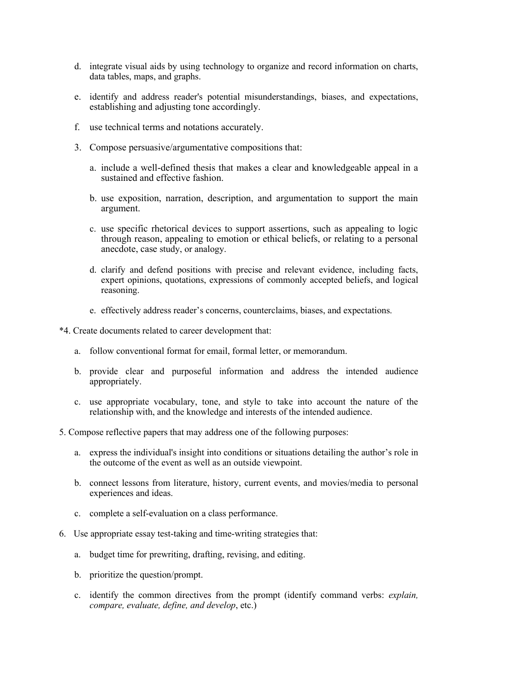- d. integrate visual aids by using technology to organize and record information on charts, data tables, maps, and graphs.
- e. identify and address reader's potential misunderstandings, biases, and expectations, establishing and adjusting tone accordingly.
- f. use technical terms and notations accurately.
- 3. Compose persuasive/argumentative compositions that:
	- a. include a well-defined thesis that makes a clear and knowledgeable appeal in a sustained and effective fashion.
	- b. use exposition, narration, description, and argumentation to support the main argument.
	- c. use specific rhetorical devices to support assertions, such as appealing to logic through reason, appealing to emotion or ethical beliefs, or relating to a personal anecdote, case study, or analogy.
	- d. clarify and defend positions with precise and relevant evidence, including facts, expert opinions, quotations, expressions of commonly accepted beliefs, and logical reasoning.
	- e. effectively address reader's concerns, counterclaims, biases, and expectations.
- \*4. Create documents related to career development that:
	- a. follow conventional format for email, formal letter, or memorandum.
	- b. provide clear and purposeful information and address the intended audience appropriately.
	- c. use appropriate vocabulary, tone, and style to take into account the nature of the relationship with, and the knowledge and interests of the intended audience.
- 5. Compose reflective papers that may address one of the following purposes:
	- a. express the individual's insight into conditions or situations detailing the author's role in the outcome of the event as well as an outside viewpoint.
	- b. connect lessons from literature, history, current events, and movies/media to personal experiences and ideas.
	- c. complete a self-evaluation on a class performance.
- 6. Use appropriate essay test-taking and time-writing strategies that:
	- a. budget time for prewriting, drafting, revising, and editing.
	- b. prioritize the question/prompt.
	- c. identify the common directives from the prompt (identify command verbs: *explain, compare, evaluate, define, and develop*, etc.)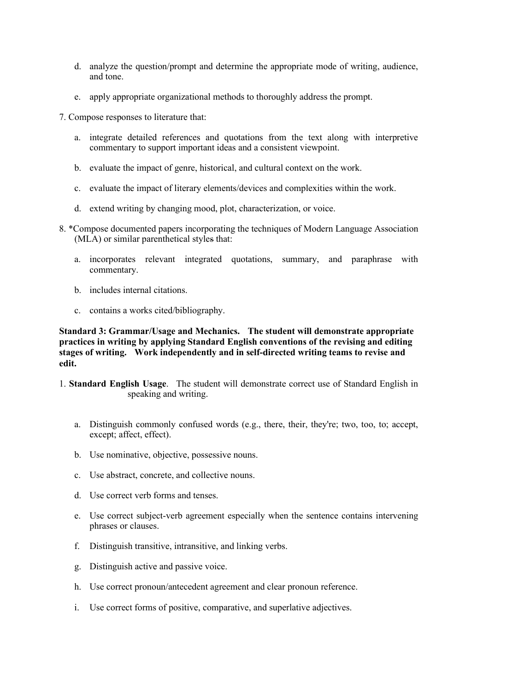- d. analyze the question/prompt and determine the appropriate mode of writing, audience, and tone.
- e. apply appropriate organizational methods to thoroughly address the prompt.
- 7. Compose responses to literature that:
	- a. integrate detailed references and quotations from the text along with interpretive commentary to support important ideas and a consistent viewpoint.
	- b. evaluate the impact of genre, historical, and cultural context on the work.
	- c. evaluate the impact of literary elements/devices and complexities within the work.
	- d. extend writing by changing mood, plot, characterization, or voice.
- 8. \*Compose documented papers incorporating the techniques of Modern Language Association (MLA) or similar parenthetical styles that:
	- a. incorporates relevant integrated quotations, summary, and paraphrase with commentary.
	- b. includes internal citations.
	- c. contains a works cited/bibliography.

**Standard 3: Grammar/Usage and Mechanics. The student will demonstrate appropriate practices in writing by applying Standard English conventions of the revising and editing stages of writing. Work independently and in self-directed writing teams to revise and edit.** 

- 1. **Standard English Usage**. The student will demonstrate correct use of Standard English in speaking and writing.
	- a. Distinguish commonly confused words (e.g., there, their, they're; two, too, to; accept, except; affect, effect).
	- b. Use nominative, objective, possessive nouns.
	- c. Use abstract, concrete, and collective nouns.
	- d. Use correct verb forms and tenses.
	- e. Use correct subject-verb agreement especially when the sentence contains intervening phrases or clauses.
	- f. Distinguish transitive, intransitive, and linking verbs.
	- g. Distinguish active and passive voice.
	- h. Use correct pronoun/antecedent agreement and clear pronoun reference.
	- i. Use correct forms of positive, comparative, and superlative adjectives.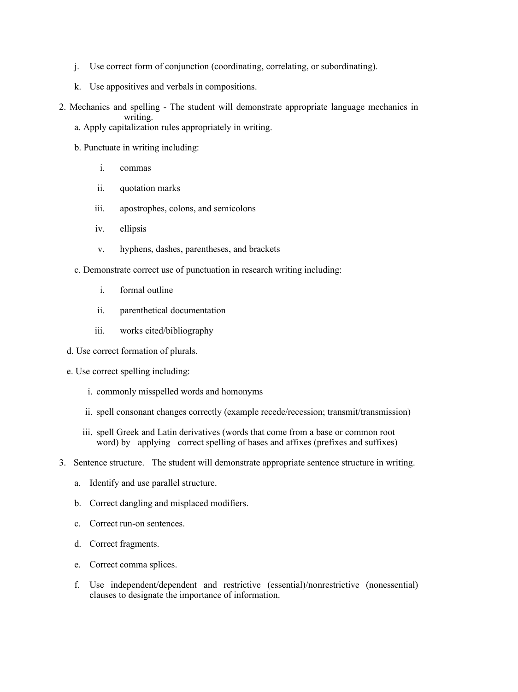- j. Use correct form of conjunction (coordinating, correlating, or subordinating).
- k. Use appositives and verbals in compositions.
- 2. Mechanics and spelling The student will demonstrate appropriate language mechanics in writing.
	- a. Apply capitalization rules appropriately in writing.
	- b. Punctuate in writing including:
		- i. commas
		- ii. quotation marks
		- iii. apostrophes, colons, and semicolons
		- iv. ellipsis
		- v. hyphens, dashes, parentheses, and brackets
	- c. Demonstrate correct use of punctuation in research writing including:
		- i. formal outline
		- ii. parenthetical documentation
		- iii. works cited/bibliography
	- d. Use correct formation of plurals.
	- e. Use correct spelling including:
		- i. commonly misspelled words and homonyms
		- ii. spell consonant changes correctly (example recede/recession; transmit/transmission)
		- iii. spell Greek and Latin derivatives (words that come from a base or common root word) by applying correct spelling of bases and affixes (prefixes and suffixes)
- 3. Sentence structure. The student will demonstrate appropriate sentence structure in writing.
	- a. Identify and use parallel structure.
	- b. Correct dangling and misplaced modifiers.
	- c. Correct run-on sentences.
	- d. Correct fragments.
	- e. Correct comma splices.
	- f. Use independent/dependent and restrictive (essential)/nonrestrictive (nonessential) clauses to designate the importance of information.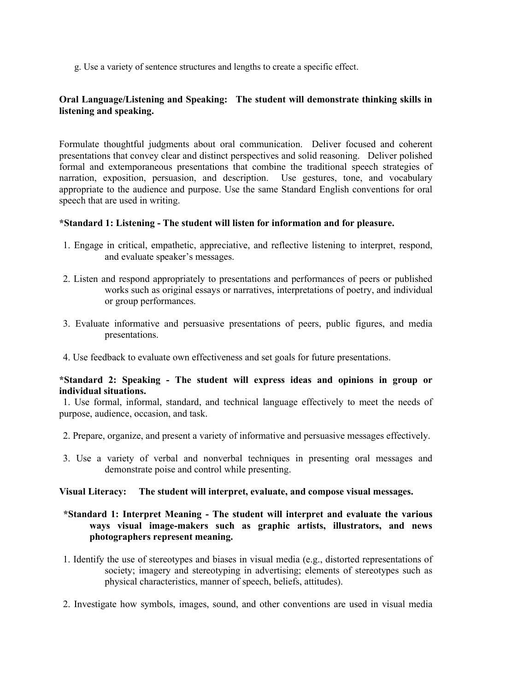g. Use a variety of sentence structures and lengths to create a specific effect.

# **Oral Language/Listening and Speaking: The student will demonstrate thinking skills in listening and speaking.**

Formulate thoughtful judgments about oral communication. Deliver focused and coherent presentations that convey clear and distinct perspectives and solid reasoning. Deliver polished formal and extemporaneous presentations that combine the traditional speech strategies of narration, exposition, persuasion, and description. Use gestures, tone, and vocabulary appropriate to the audience and purpose. Use the same Standard English conventions for oral speech that are used in writing.

#### **\*Standard 1: Listening - The student will listen for information and for pleasure.**

- 1. Engage in critical, empathetic, appreciative, and reflective listening to interpret, respond, and evaluate speaker's messages.
- 2. Listen and respond appropriately to presentations and performances of peers or published works such as original essays or narratives, interpretations of poetry, and individual or group performances.
- 3. Evaluate informative and persuasive presentations of peers, public figures, and media presentations.
- 4. Use feedback to evaluate own effectiveness and set goals for future presentations.

#### **\*Standard 2: Speaking - The student will express ideas and opinions in group or individual situations.**

 1. Use formal, informal, standard, and technical language effectively to meet the needs of purpose, audience, occasion, and task.

- 2. Prepare, organize, and present a variety of informative and persuasive messages effectively.
- 3. Use a variety of verbal and nonverbal techniques in presenting oral messages and demonstrate poise and control while presenting.

#### **Visual Literacy: The student will interpret, evaluate, and compose visual messages.**

# **\*Standard 1: Interpret Meaning - The student will interpret and evaluate the various ways visual image-makers such as graphic artists, illustrators, and news photographers represent meaning.**

- 1. Identify the use of stereotypes and biases in visual media (e.g., distorted representations of society; imagery and stereotyping in advertising; elements of stereotypes such as physical characteristics, manner of speech, beliefs, attitudes).
- 2. Investigate how symbols, images, sound, and other conventions are used in visual media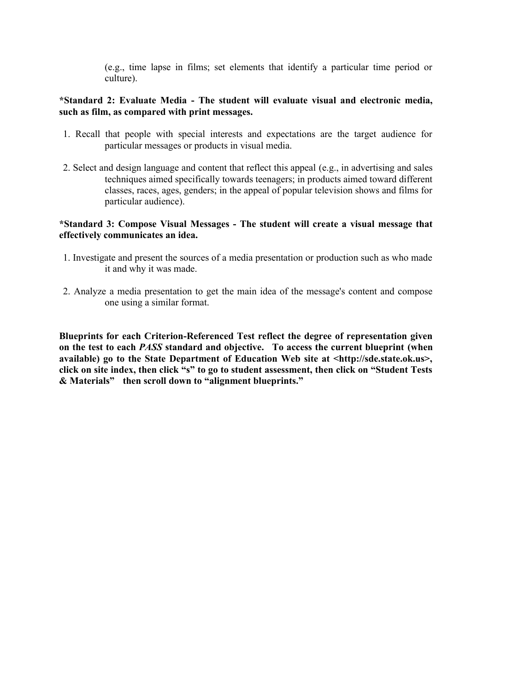(e.g., time lapse in films; set elements that identify a particular time period or culture).

# **\*Standard 2: Evaluate Media - The student will evaluate visual and electronic media, such as film, as compared with print messages.**

- 1. Recall that people with special interests and expectations are the target audience for particular messages or products in visual media.
- 2. Select and design language and content that reflect this appeal (e.g., in advertising and sales techniques aimed specifically towards teenagers; in products aimed toward different classes, races, ages, genders; in the appeal of popular television shows and films for particular audience).

### **\*Standard 3: Compose Visual Messages - The student will create a visual message that effectively communicates an idea.**

- 1. Investigate and present the sources of a media presentation or production such as who made it and why it was made.
- 2. Analyze a media presentation to get the main idea of the message's content and compose one using a similar format.

**Blueprints for each Criterion-Referenced Test reflect the degree of representation given on the test to each** *PASS* **standard and objective. To access the current blueprint (when available) go to the State Department of Education Web site at <http://sde.state.ok.us>, click on site index, then click "s" to go to student assessment, then click on "Student Tests & Materials" then scroll down to "alignment blueprints."**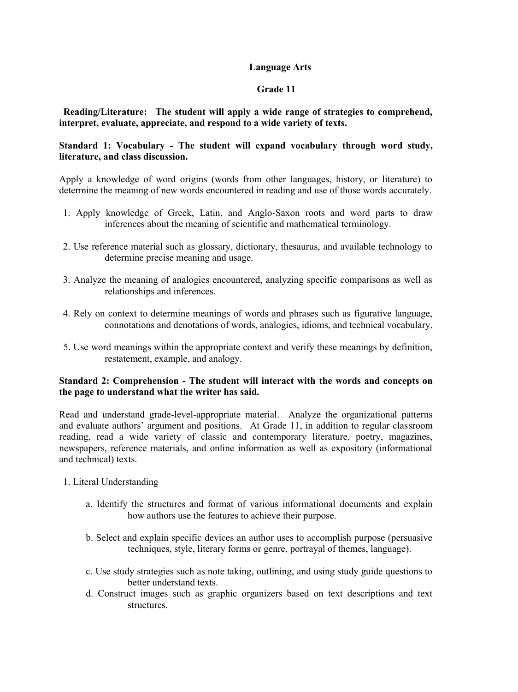# **Language Arts**

# **Grade 11**

 **Reading/Literature: The student will apply a wide range of strategies to comprehend, interpret, evaluate, appreciate, and respond to a wide variety of texts.** 

# **Standard 1: Vocabulary - The student will expand vocabulary through word study, literature, and class discussion.**

Apply a knowledge of word origins (words from other languages, history, or literature) to determine the meaning of new words encountered in reading and use of those words accurately.

- 1. Apply knowledge of Greek, Latin, and Anglo-Saxon roots and word parts to draw inferences about the meaning of scientific and mathematical terminology.
- 2. Use reference material such as glossary, dictionary, thesaurus, and available technology to determine precise meaning and usage.
- 3. Analyze the meaning of analogies encountered, analyzing specific comparisons as well as relationships and inferences.
- 4. Rely on context to determine meanings of words and phrases such as figurative language, connotations and denotations of words, analogies, idioms, and technical vocabulary.
- 5. Use word meanings within the appropriate context and verify these meanings by definition, restatement, example, and analogy.

# **Standard 2: Comprehension - The student will interact with the words and concepts on the page to understand what the writer has said.**

Read and understand grade-level-appropriate material. Analyze the organizational patterns and evaluate authors' argument and positions. At Grade 11, in addition to regular classroom reading, read a wide variety of classic and contemporary literature, poetry, magazines, newspapers, reference materials, and online information as well as expository (informational and technical) texts.

- 1. Literal Understanding
	- a. Identify the structures and format of various informational documents and explain how authors use the features to achieve their purpose.
	- b. Select and explain specific devices an author uses to accomplish purpose (persuasive techniques, style, literary forms or genre, portrayal of themes, language).
	- c. Use study strategies such as note taking, outlining, and using study guide questions to better understand texts.
	- d. Construct images such as graphic organizers based on text descriptions and text structures.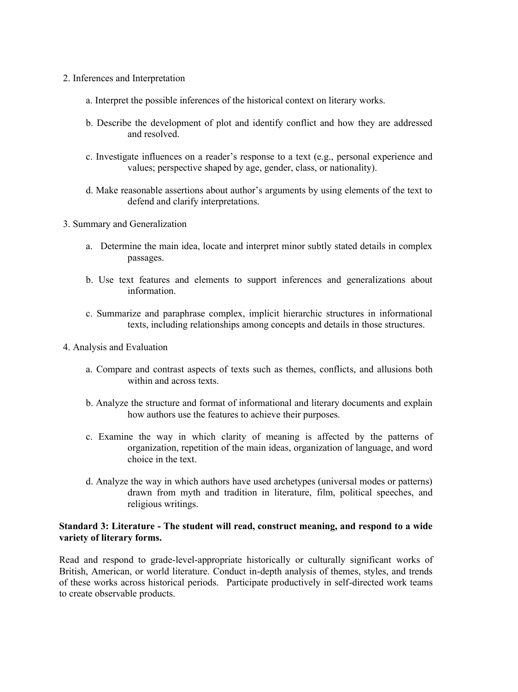- 2. Inferences and Interpretation
	- a. Interpret the possible inferences of the historical context on literary works.
	- b. Describe the development of plot and identify conflict and how they are addressed and resolved.
	- c. Investigate influences on a reader's response to a text (e.g., personal experience and values; perspective shaped by age, gender, class, or nationality).
	- d. Make reasonable assertions about author's arguments by using elements of the text to defend and clarify interpretations.
- 3. Summary and Generalization
	- a. Determine the main idea, locate and interpret minor subtly stated details in complex passages.
	- b. Use text features and elements to support inferences and generalizations about information.
	- c. Summarize and paraphrase complex, implicit hierarchic structures in informational texts, including relationships among concepts and details in those structures.
- 4. Analysis and Evaluation
	- a. Compare and contrast aspects of texts such as themes, conflicts, and allusions both within and across texts.
	- b. Analyze the structure and format of informational and literary documents and explain how authors use the features to achieve their purposes.
	- c. Examine the way in which clarity of meaning is affected by the patterns of organization, repetition of the main ideas, organization of language, and word choice in the text.
	- d. Analyze the way in which authors have used archetypes (universal modes or patterns) drawn from myth and tradition in literature, film, political speeches, and religious writings.

### **Standard 3: Literature - The student will read, construct meaning, and respond to a wide variety of literary forms.**

Read and respond to grade-level-appropriate historically or culturally significant works of British, American, or world literature. Conduct in-depth analysis of themes, styles, and trends of these works across historical periods. Participate productively in self-directed work teams to create observable products.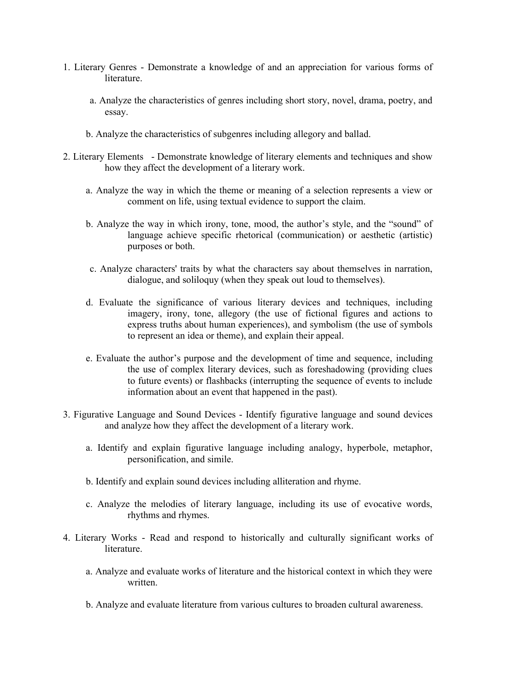- 1. Literary Genres Demonstrate a knowledge of and an appreciation for various forms of literature.
	- a. Analyze the characteristics of genres including short story, novel, drama, poetry, and essay.
	- b. Analyze the characteristics of subgenres including allegory and ballad.
- 2. Literary Elements Demonstrate knowledge of literary elements and techniques and show how they affect the development of a literary work.
	- a. Analyze the way in which the theme or meaning of a selection represents a view or comment on life, using textual evidence to support the claim.
	- b. Analyze the way in which irony, tone, mood, the author's style, and the "sound" of language achieve specific rhetorical (communication) or aesthetic (artistic) purposes or both.
	- c. Analyze characters' traits by what the characters say about themselves in narration, dialogue, and soliloquy (when they speak out loud to themselves).
	- d. Evaluate the significance of various literary devices and techniques, including imagery, irony, tone, allegory (the use of fictional figures and actions to express truths about human experiences), and symbolism (the use of symbols to represent an idea or theme), and explain their appeal.
	- e. Evaluate the author's purpose and the development of time and sequence, including the use of complex literary devices, such as foreshadowing (providing clues to future events) or flashbacks (interrupting the sequence of events to include information about an event that happened in the past).
- 3. Figurative Language and Sound Devices Identify figurative language and sound devices and analyze how they affect the development of a literary work.
	- a. Identify and explain figurative language including analogy, hyperbole, metaphor, personification, and simile.
	- b. Identify and explain sound devices including alliteration and rhyme.
	- c. Analyze the melodies of literary language, including its use of evocative words, rhythms and rhymes.
- 4. Literary Works Read and respond to historically and culturally significant works of literature.
	- a. Analyze and evaluate works of literature and the historical context in which they were written.
	- b. Analyze and evaluate literature from various cultures to broaden cultural awareness.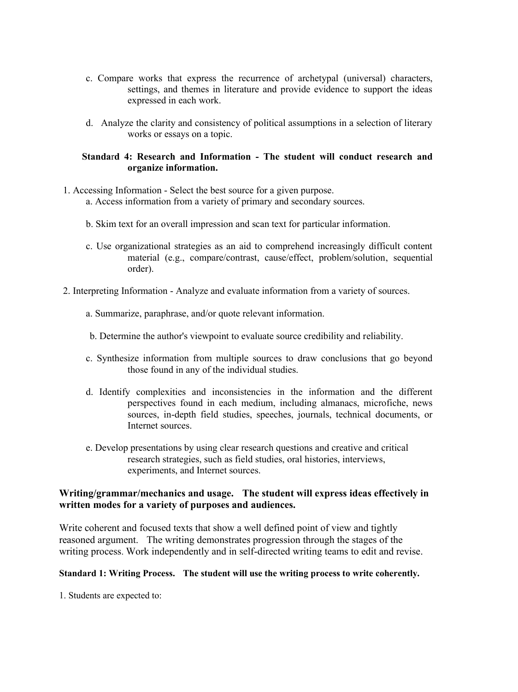- c. Compare works that express the recurrence of archetypal (universal) characters, settings, and themes in literature and provide evidence to support the ideas expressed in each work.
- d. Analyze the clarity and consistency of political assumptions in a selection of literary works or essays on a topic.

# **Standa**r**d 4: Research and Information - The student will conduct research and organize information.**

- 1. Accessing Information Select the best source for a given purpose.
	- a. Access information from a variety of primary and secondary sources.
	- b. Skim text for an overall impression and scan text for particular information.
	- c. Use organizational strategies as an aid to comprehend increasingly difficult content material (e.g., compare/contrast, cause/effect, problem/solution, sequential order).
- 2. Interpreting Information Analyze and evaluate information from a variety of sources.
	- a. Summarize, paraphrase, and/or quote relevant information.
	- b. Determine the author's viewpoint to evaluate source credibility and reliability.
	- c. Synthesize information from multiple sources to draw conclusions that go beyond those found in any of the individual studies.
	- d. Identify complexities and inconsistencies in the information and the different perspectives found in each medium, including almanacs, microfiche, news sources, in-depth field studies, speeches, journals, technical documents, or Internet sources.
	- e. Develop presentations by using clear research questions and creative and critical research strategies, such as field studies, oral histories, interviews, experiments, and Internet sources.

# **Writing/grammar/mechanics and usage. The student will express ideas effectively in written modes for a variety of purposes and audiences.**

Write coherent and focused texts that show a well defined point of view and tightly reasoned argument. The writing demonstrates progression through the stages of the writing process. Work independently and in self-directed writing teams to edit and revise.

### **Standard 1: Writing Process. The student will use the writing process to write coherently.**

1. Students are expected to: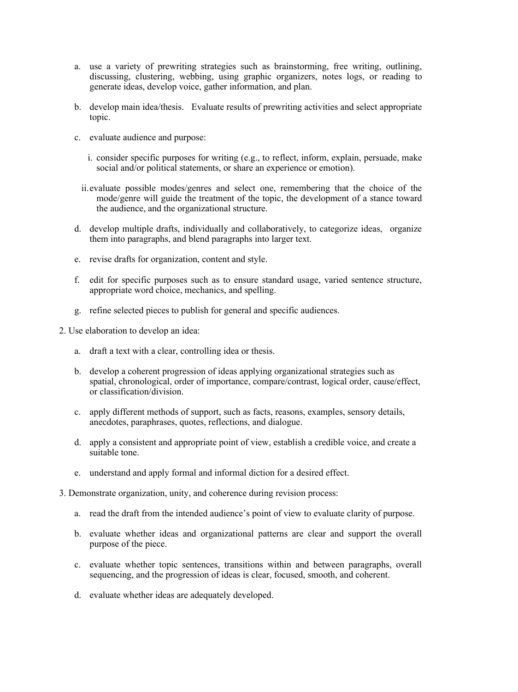- a. use a variety of prewriting strategies such as brainstorming, free writing, outlining, discussing, clustering, webbing, using graphic organizers, notes logs, or reading to generate ideas, develop voice, gather information, and plan.
- b. develop main idea/thesis. Evaluate results of prewriting activities and select appropriate topic.
- c. evaluate audience and purpose:
	- i. consider specific purposes for writing (e.g., to reflect, inform, explain, persuade, make social and/or political statements, or share an experience or emotion).
	- ii.evaluate possible modes/genres and select one, remembering that the choice of the mode/genre will guide the treatment of the topic, the development of a stance toward the audience, and the organizational structure.
- d. develop multiple drafts, individually and collaboratively, to categorize ideas, organize them into paragraphs, and blend paragraphs into larger text.
- e. revise drafts for organization, content and style.
- f. edit for specific purposes such as to ensure standard usage, varied sentence structure, appropriate word choice, mechanics, and spelling.
- g. refine selected pieces to publish for general and specific audiences.
- 2. Use elaboration to develop an idea:
	- a. draft a text with a clear, controlling idea or thesis.
	- b. develop a coherent progression of ideas applying organizational strategies such as spatial, chronological, order of importance, compare/contrast, logical order, cause/effect, or classification/division.
	- c. apply different methods of support, such as facts, reasons, examples, sensory details, anecdotes, paraphrases, quotes, reflections, and dialogue.
	- d. apply a consistent and appropriate point of view, establish a credible voice, and create a suitable tone.
	- e. understand and apply formal and informal diction for a desired effect.
- 3. Demonstrate organization, unity, and coherence during revision process:
	- a. read the draft from the intended audience's point of view to evaluate clarity of purpose.
	- b. evaluate whether ideas and organizational patterns are clear and support the overall purpose of the piece.
	- c. evaluate whether topic sentences, transitions within and between paragraphs, overall sequencing, and the progression of ideas is clear, focused, smooth, and coherent.
	- d. evaluate whether ideas are adequately developed.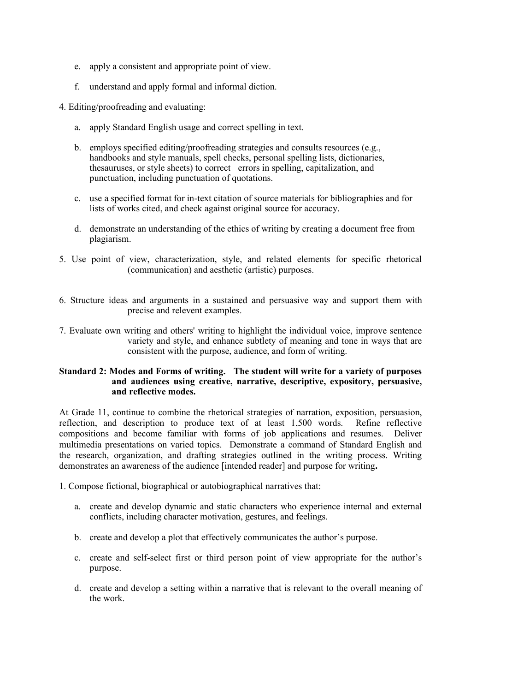- e. apply a consistent and appropriate point of view.
- f. understand and apply formal and informal diction.

4. Editing/proofreading and evaluating:

- a. apply Standard English usage and correct spelling in text.
- b. employs specified editing/proofreading strategies and consults resources (e.g., handbooks and style manuals, spell checks, personal spelling lists, dictionaries, thesauruses, or style sheets) to correct errors in spelling, capitalization, and punctuation, including punctuation of quotations.
- c. use a specified format for in-text citation of source materials for bibliographies and for lists of works cited, and check against original source for accuracy.
- d. demonstrate an understanding of the ethics of writing by creating a document free from plagiarism.
- 5. Use point of view, characterization, style, and related elements for specific rhetorical (communication) and aesthetic (artistic) purposes.
- 6. Structure ideas and arguments in a sustained and persuasive way and support them with precise and relevent examples.
- 7. Evaluate own writing and others' writing to highlight the individual voice, improve sentence variety and style, and enhance subtlety of meaning and tone in ways that are consistent with the purpose, audience, and form of writing.

#### **Standard 2: Modes and Forms of writing. The student will write for a variety of purposes and audiences using creative, narrative, descriptive, expository, persuasive, and reflective modes.**

At Grade 11, continue to combine the rhetorical strategies of narration, exposition, persuasion, reflection, and description to produce text of at least 1,500 words. Refine reflective compositions and become familiar with forms of job applications and resumes. Deliver multimedia presentations on varied topics. Demonstrate a command of Standard English and the research, organization, and drafting strategies outlined in the writing process. Writing demonstrates an awareness of the audience [intended reader] and purpose for writing**.**

1. Compose fictional, biographical or autobiographical narratives that:

- a. create and develop dynamic and static characters who experience internal and external conflicts, including character motivation, gestures, and feelings.
- b. create and develop a plot that effectively communicates the author's purpose.
- c. create and self-select first or third person point of view appropriate for the author's purpose.
- d. create and develop a setting within a narrative that is relevant to the overall meaning of the work.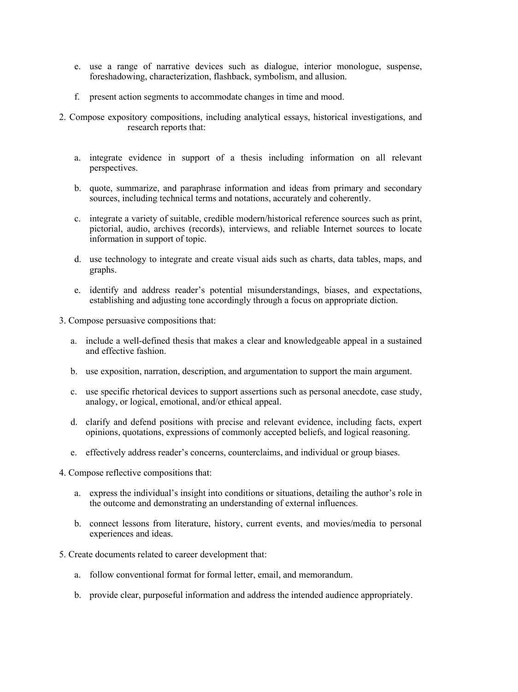- e. use a range of narrative devices such as dialogue, interior monologue, suspense, foreshadowing, characterization, flashback, symbolism, and allusion.
- f. present action segments to accommodate changes in time and mood.
- 2. Compose expository compositions, including analytical essays, historical investigations, and research reports that:
	- a. integrate evidence in support of a thesis including information on all relevant perspectives.
	- b. quote, summarize, and paraphrase information and ideas from primary and secondary sources, including technical terms and notations, accurately and coherently.
	- c. integrate a variety of suitable, credible modern/historical reference sources such as print, pictorial, audio, archives (records), interviews, and reliable Internet sources to locate information in support of topic.
	- d. use technology to integrate and create visual aids such as charts, data tables, maps, and graphs.
	- e. identify and address reader's potential misunderstandings, biases, and expectations, establishing and adjusting tone accordingly through a focus on appropriate diction.
- 3. Compose persuasive compositions that:
	- a. include a well-defined thesis that makes a clear and knowledgeable appeal in a sustained and effective fashion.
	- b. use exposition, narration, description, and argumentation to support the main argument.
	- c. use specific rhetorical devices to support assertions such as personal anecdote, case study, analogy, or logical, emotional, and/or ethical appeal.
	- d. clarify and defend positions with precise and relevant evidence, including facts, expert opinions, quotations, expressions of commonly accepted beliefs, and logical reasoning.
	- e. effectively address reader's concerns, counterclaims, and individual or group biases.
- 4. Compose reflective compositions that:
	- a. express the individual's insight into conditions or situations, detailing the author's role in the outcome and demonstrating an understanding of external influences.
	- b. connect lessons from literature, history, current events, and movies/media to personal experiences and ideas.
- 5. Create documents related to career development that:
	- a. follow conventional format for formal letter, email, and memorandum.
	- b. provide clear, purposeful information and address the intended audience appropriately.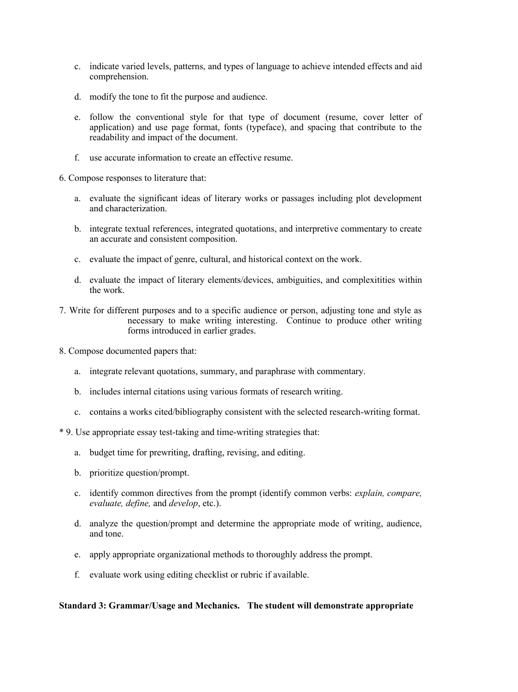- c. indicate varied levels, patterns, and types of language to achieve intended effects and aid comprehension.
- d. modify the tone to fit the purpose and audience.
- e. follow the conventional style for that type of document (resume, cover letter of application) and use page format, fonts (typeface), and spacing that contribute to the readability and impact of the document.
- f. use accurate information to create an effective resume.

6. Compose responses to literature that:

- a. evaluate the significant ideas of literary works or passages including plot development and characterization.
- b. integrate textual references, integrated quotations, and interpretive commentary to create an accurate and consistent composition.
- c. evaluate the impact of genre, cultural, and historical context on the work.
- d. evaluate the impact of literary elements/devices, ambiguities, and complexitities within the work.
- 7. Write for different purposes and to a specific audience or person, adjusting tone and style as necessary to make writing interesting. Continue to produce other writing forms introduced in earlier grades.
- 8. Compose documented papers that:
	- a. integrate relevant quotations, summary, and paraphrase with commentary.
	- b. includes internal citations using various formats of research writing.
	- c. contains a works cited/bibliography consistent with the selected research-writing format.
- \* 9. Use appropriate essay test-taking and time-writing strategies that:
	- a. budget time for prewriting, drafting, revising, and editing.
	- b. prioritize question/prompt.
	- c. identify common directives from the prompt (identify common verbs: *explain, compare, evaluate, define,* and *develop*, etc.).
	- d. analyze the question/prompt and determine the appropriate mode of writing, audience, and tone.
	- e. apply appropriate organizational methods to thoroughly address the prompt.
	- f. evaluate work using editing checklist or rubric if available.

#### **Standard 3: Grammar/Usage and Mechanics. The student will demonstrate appropriate**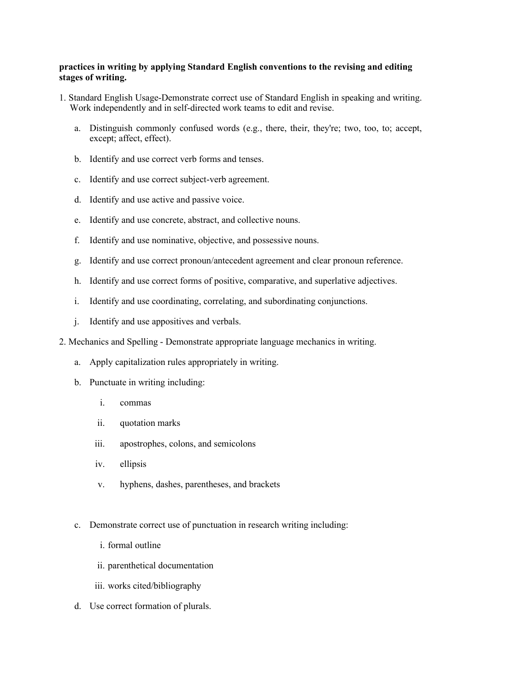#### **practices in writing by applying Standard English conventions to the revising and editing stages of writing.**

- 1. Standard English Usage-Demonstrate correct use of Standard English in speaking and writing. Work independently and in self-directed work teams to edit and revise.
	- a. Distinguish commonly confused words (e.g., there, their, they're; two, too, to; accept, except; affect, effect).
	- b. Identify and use correct verb forms and tenses.
	- c. Identify and use correct subject-verb agreement.
	- d. Identify and use active and passive voice.
	- e. Identify and use concrete, abstract, and collective nouns.
	- f. Identify and use nominative, objective, and possessive nouns.
	- g. Identify and use correct pronoun/antecedent agreement and clear pronoun reference.
	- h. Identify and use correct forms of positive, comparative, and superlative adjectives.
	- i. Identify and use coordinating, correlating, and subordinating conjunctions.
	- j. Identify and use appositives and verbals.
- 2. Mechanics and Spelling Demonstrate appropriate language mechanics in writing.
	- a. Apply capitalization rules appropriately in writing.
	- b. Punctuate in writing including:
		- i. commas
		- ii. quotation marks
		- iii. apostrophes, colons, and semicolons
		- iv. ellipsis
		- v. hyphens, dashes, parentheses, and brackets
	- c. Demonstrate correct use of punctuation in research writing including:
		- i. formal outline
		- ii. parenthetical documentation
		- iii. works cited/bibliography
	- d. Use correct formation of plurals.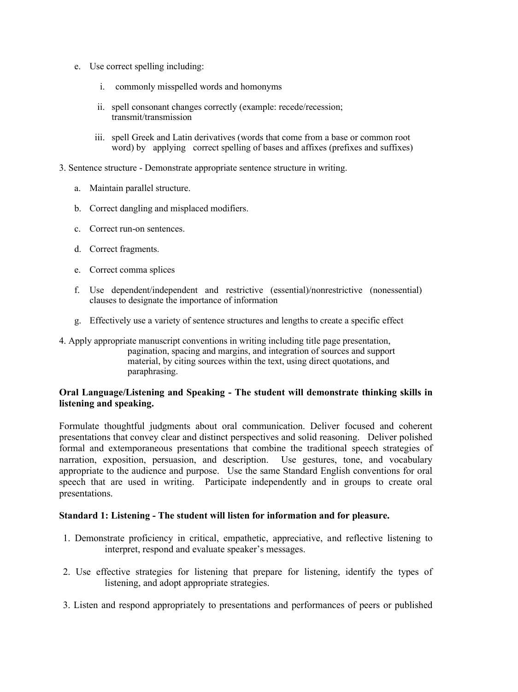- e. Use correct spelling including:
	- i. commonly misspelled words and homonyms
	- ii. spell consonant changes correctly (example: recede/recession; transmit/transmission
	- iii. spell Greek and Latin derivatives (words that come from a base or common root word) by applying correct spelling of bases and affixes (prefixes and suffixes)
- 3. Sentence structure Demonstrate appropriate sentence structure in writing.
	- a. Maintain parallel structure.
	- b. Correct dangling and misplaced modifiers.
	- c. Correct run-on sentences.
	- d. Correct fragments.
	- e. Correct comma splices
	- f. Use dependent/independent and restrictive (essential)/nonrestrictive (nonessential) clauses to designate the importance of information
	- g. Effectively use a variety of sentence structures and lengths to create a specific effect
- 4. Apply appropriate manuscript conventions in writing including title page presentation, pagination, spacing and margins, and integration of sources and support material, by citing sources within the text, using direct quotations, and paraphrasing.

# **Oral Language/Listening and Speaking - The student will demonstrate thinking skills in listening and speaking.**

Formulate thoughtful judgments about oral communication. Deliver focused and coherent presentations that convey clear and distinct perspectives and solid reasoning. Deliver polished formal and extemporaneous presentations that combine the traditional speech strategies of narration, exposition, persuasion, and description. Use gestures, tone, and vocabulary appropriate to the audience and purpose. Use the same Standard English conventions for oral speech that are used in writing. Participate independently and in groups to create oral presentations.

#### **Standard 1: Listening - The student will listen for information and for pleasure.**

- 1. Demonstrate proficiency in critical, empathetic, appreciative, and reflective listening to interpret, respond and evaluate speaker's messages.
- 2. Use effective strategies for listening that prepare for listening, identify the types of listening, and adopt appropriate strategies.
- 3. Listen and respond appropriately to presentations and performances of peers or published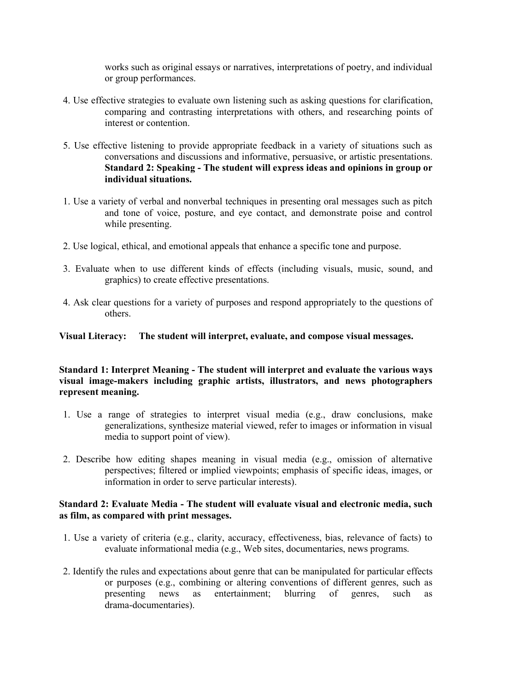works such as original essays or narratives, interpretations of poetry, and individual or group performances.

- 4. Use effective strategies to evaluate own listening such as asking questions for clarification, comparing and contrasting interpretations with others, and researching points of interest or contention.
- 5. Use effective listening to provide appropriate feedback in a variety of situations such as conversations and discussions and informative, persuasive, or artistic presentations. **Standard 2: Speaking - The student will express ideas and opinions in group or individual situations.**
- 1. Use a variety of verbal and nonverbal techniques in presenting oral messages such as pitch and tone of voice, posture, and eye contact, and demonstrate poise and control while presenting.
- 2. Use logical, ethical, and emotional appeals that enhance a specific tone and purpose.
- 3. Evaluate when to use different kinds of effects (including visuals, music, sound, and graphics) to create effective presentations.
- 4. Ask clear questions for a variety of purposes and respond appropriately to the questions of others.

**Visual Literacy: The student will interpret, evaluate, and compose visual messages.** 

# **Standard 1: Interpret Meaning - The student will interpret and evaluate the various ways visual image-makers including graphic artists, illustrators, and news photographers represent meaning.**

- 1. Use a range of strategies to interpret visual media (e.g., draw conclusions, make generalizations, synthesize material viewed, refer to images or information in visual media to support point of view).
- 2. Describe how editing shapes meaning in visual media (e.g., omission of alternative perspectives; filtered or implied viewpoints; emphasis of specific ideas, images, or information in order to serve particular interests).

## **Standard 2: Evaluate Media - The student will evaluate visual and electronic media, such as film, as compared with print messages.**

- 1. Use a variety of criteria (e.g., clarity, accuracy, effectiveness, bias, relevance of facts) to evaluate informational media (e.g., Web sites, documentaries, news programs.
- 2. Identify the rules and expectations about genre that can be manipulated for particular effects or purposes (e.g., combining or altering conventions of different genres, such as presenting news as entertainment; blurring of genres, such as drama-documentaries).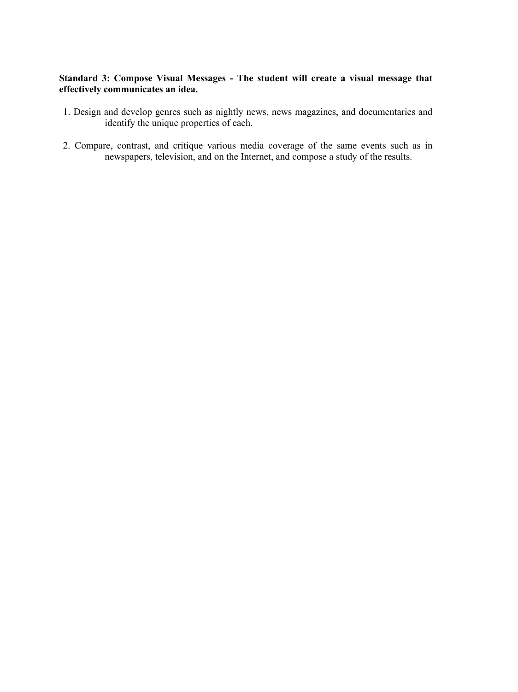# **Standard 3: Compose Visual Messages - The student will create a visual message that effectively communicates an idea.**

- 1. Design and develop genres such as nightly news, news magazines, and documentaries and identify the unique properties of each.
- 2. Compare, contrast, and critique various media coverage of the same events such as in newspapers, television, and on the Internet, and compose a study of the results.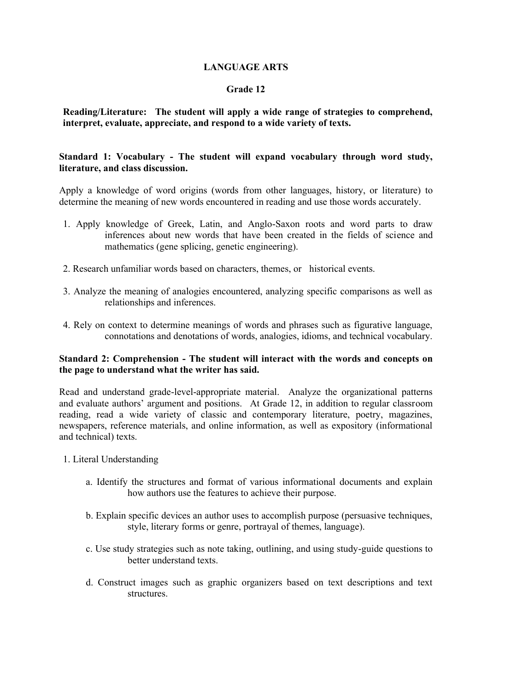# **LANGUAGE ARTS**

## **Grade 12**

# **Reading/Literature: The student will apply a wide range of strategies to comprehend, interpret, evaluate, appreciate, and respond to a wide variety of texts.**

# **Standard 1: Vocabulary - The student will expand vocabulary through word study, literature, and class discussion.**

Apply a knowledge of word origins (words from other languages, history, or literature) to determine the meaning of new words encountered in reading and use those words accurately.

- 1. Apply knowledge of Greek, Latin, and Anglo-Saxon roots and word parts to draw inferences about new words that have been created in the fields of science and mathematics (gene splicing, genetic engineering).
- 2. Research unfamiliar words based on characters, themes, or historical events.
- 3. Analyze the meaning of analogies encountered, analyzing specific comparisons as well as relationships and inferences.
- 4. Rely on context to determine meanings of words and phrases such as figurative language, connotations and denotations of words, analogies, idioms, and technical vocabulary.

#### **Standard 2: Comprehension - The student will interact with the words and concepts on the page to understand what the writer has said.**

Read and understand grade-level-appropriate material. Analyze the organizational patterns and evaluate authors' argument and positions. At Grade 12, in addition to regular classroom reading, read a wide variety of classic and contemporary literature, poetry, magazines, newspapers, reference materials, and online information, as well as expository (informational and technical) texts.

- 1. Literal Understanding
	- a. Identify the structures and format of various informational documents and explain how authors use the features to achieve their purpose.
	- b. Explain specific devices an author uses to accomplish purpose (persuasive techniques, style, literary forms or genre, portrayal of themes, language).
	- c. Use study strategies such as note taking, outlining, and using study-guide questions to better understand texts.
	- d. Construct images such as graphic organizers based on text descriptions and text structures.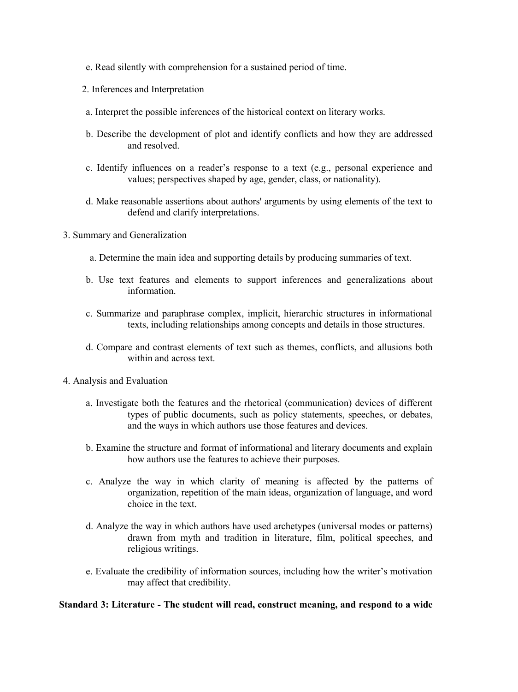- e. Read silently with comprehension for a sustained period of time.
- 2. Inferences and Interpretation
- a. Interpret the possible inferences of the historical context on literary works.
- b. Describe the development of plot and identify conflicts and how they are addressed and resolved.
- c. Identify influences on a reader's response to a text (e.g., personal experience and values; perspectives shaped by age, gender, class, or nationality).
- d. Make reasonable assertions about authors' arguments by using elements of the text to defend and clarify interpretations.
- 3. Summary and Generalization
	- a. Determine the main idea and supporting details by producing summaries of text.
	- b. Use text features and elements to support inferences and generalizations about information.
	- c. Summarize and paraphrase complex, implicit, hierarchic structures in informational texts, including relationships among concepts and details in those structures.
	- d. Compare and contrast elements of text such as themes, conflicts, and allusions both within and across text.
- 4. Analysis and Evaluation
	- a. Investigate both the features and the rhetorical (communication) devices of different types of public documents, such as policy statements, speeches, or debates, and the ways in which authors use those features and devices.
	- b. Examine the structure and format of informational and literary documents and explain how authors use the features to achieve their purposes.
	- c. Analyze the way in which clarity of meaning is affected by the patterns of organization, repetition of the main ideas, organization of language, and word choice in the text.
	- d. Analyze the way in which authors have used archetypes (universal modes or patterns) drawn from myth and tradition in literature, film, political speeches, and religious writings.
	- e. Evaluate the credibility of information sources, including how the writer's motivation may affect that credibility.

**Standard 3: Literature - The student will read, construct meaning, and respond to a wide**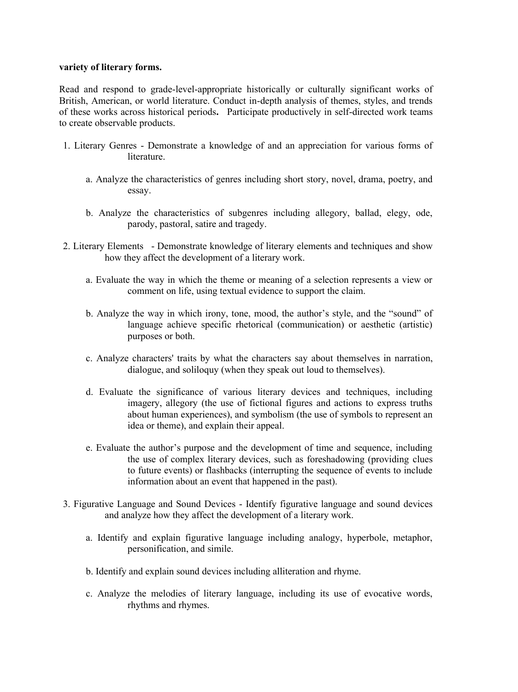#### **variety of literary forms.**

Read and respond to grade-level-appropriate historically or culturally significant works of British, American, or world literature. Conduct in-depth analysis of themes, styles, and trends of these works across historical periods**.** Participate productively in self-directed work teams to create observable products.

- 1. Literary Genres Demonstrate a knowledge of and an appreciation for various forms of **literature** 
	- a. Analyze the characteristics of genres including short story, novel, drama, poetry, and essay.
	- b. Analyze the characteristics of subgenres including allegory, ballad, elegy, ode, parody, pastoral, satire and tragedy.
- 2. Literary Elements Demonstrate knowledge of literary elements and techniques and show how they affect the development of a literary work.
	- a. Evaluate the way in which the theme or meaning of a selection represents a view or comment on life, using textual evidence to support the claim.
	- b. Analyze the way in which irony, tone, mood, the author's style, and the "sound" of language achieve specific rhetorical (communication) or aesthetic (artistic) purposes or both.
	- c. Analyze characters' traits by what the characters say about themselves in narration, dialogue, and soliloquy (when they speak out loud to themselves).
	- d. Evaluate the significance of various literary devices and techniques, including imagery, allegory (the use of fictional figures and actions to express truths about human experiences), and symbolism (the use of symbols to represent an idea or theme), and explain their appeal.
	- e. Evaluate the author's purpose and the development of time and sequence, including the use of complex literary devices, such as foreshadowing (providing clues to future events) or flashbacks (interrupting the sequence of events to include information about an event that happened in the past).
- 3. Figurative Language and Sound Devices Identify figurative language and sound devices and analyze how they affect the development of a literary work.
	- a. Identify and explain figurative language including analogy, hyperbole, metaphor, personification, and simile.
	- b. Identify and explain sound devices including alliteration and rhyme.
	- c. Analyze the melodies of literary language, including its use of evocative words, rhythms and rhymes.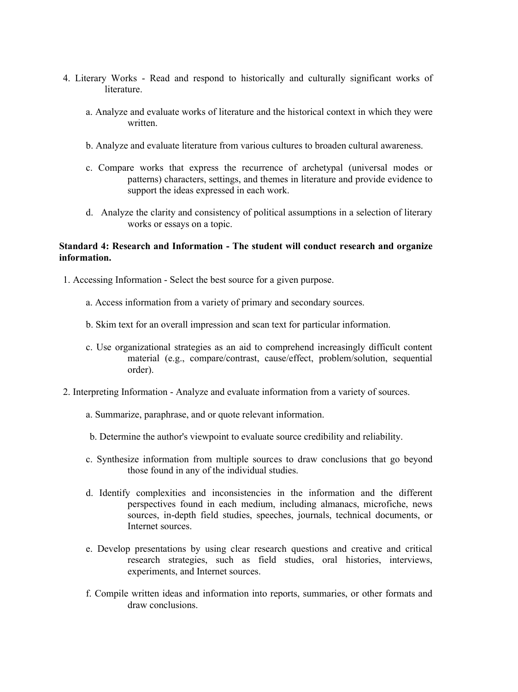- 4. Literary Works Read and respond to historically and culturally significant works of literature.
	- a. Analyze and evaluate works of literature and the historical context in which they were written.
	- b. Analyze and evaluate literature from various cultures to broaden cultural awareness.
	- c. Compare works that express the recurrence of archetypal (universal modes or patterns) characters, settings, and themes in literature and provide evidence to support the ideas expressed in each work.
	- d. Analyze the clarity and consistency of political assumptions in a selection of literary works or essays on a topic.

# **Standard 4: Research and Information - The student will conduct research and organize information.**

- 1. Accessing Information Select the best source for a given purpose.
	- a. Access information from a variety of primary and secondary sources.
	- b. Skim text for an overall impression and scan text for particular information.
	- c. Use organizational strategies as an aid to comprehend increasingly difficult content material (e.g., compare/contrast, cause/effect, problem/solution, sequential order).
- 2. Interpreting Information Analyze and evaluate information from a variety of sources.
	- a. Summarize, paraphrase, and or quote relevant information.
	- b. Determine the author's viewpoint to evaluate source credibility and reliability.
	- c. Synthesize information from multiple sources to draw conclusions that go beyond those found in any of the individual studies.
	- d. Identify complexities and inconsistencies in the information and the different perspectives found in each medium, including almanacs, microfiche, news sources, in-depth field studies, speeches, journals, technical documents, or Internet sources.
	- e. Develop presentations by using clear research questions and creative and critical research strategies, such as field studies, oral histories, interviews, experiments, and Internet sources.
	- f. Compile written ideas and information into reports, summaries, or other formats and draw conclusions.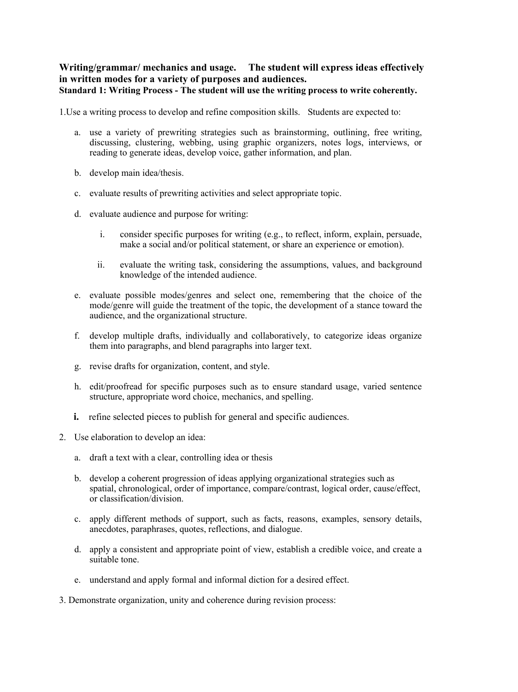# **Writing/grammar/ mechanics and usage. The student will express ideas effectively in written modes for a variety of purposes and audiences. Standard 1: Writing Process - The student will use the writing process to write coherently.**

1.Use a writing process to develop and refine composition skills. Students are expected to:

- a. use a variety of prewriting strategies such as brainstorming, outlining, free writing, discussing, clustering, webbing, using graphic organizers, notes logs, interviews, or reading to generate ideas, develop voice, gather information, and plan.
- b. develop main idea/thesis.
- c. evaluate results of prewriting activities and select appropriate topic.
- d. evaluate audience and purpose for writing:
	- i. consider specific purposes for writing (e.g., to reflect, inform, explain, persuade, make a social and/or political statement, or share an experience or emotion).
	- ii. evaluate the writing task, considering the assumptions, values, and background knowledge of the intended audience.
- e. evaluate possible modes/genres and select one, remembering that the choice of the mode/genre will guide the treatment of the topic, the development of a stance toward the audience, and the organizational structure.
- f. develop multiple drafts, individually and collaboratively, to categorize ideas organize them into paragraphs, and blend paragraphs into larger text.
- g. revise drafts for organization, content, and style.
- h. edit/proofread for specific purposes such as to ensure standard usage, varied sentence structure, appropriate word choice, mechanics, and spelling.
- **i.** refine selected pieces to publish for general and specific audiences.
- 2. Use elaboration to develop an idea:
	- a. draft a text with a clear, controlling idea or thesis
	- b. develop a coherent progression of ideas applying organizational strategies such as spatial, chronological, order of importance, compare/contrast, logical order, cause/effect, or classification/division.
	- c. apply different methods of support, such as facts, reasons, examples, sensory details, anecdotes, paraphrases, quotes, reflections, and dialogue.
	- d. apply a consistent and appropriate point of view, establish a credible voice, and create a suitable tone.
	- e. understand and apply formal and informal diction for a desired effect.

3. Demonstrate organization, unity and coherence during revision process: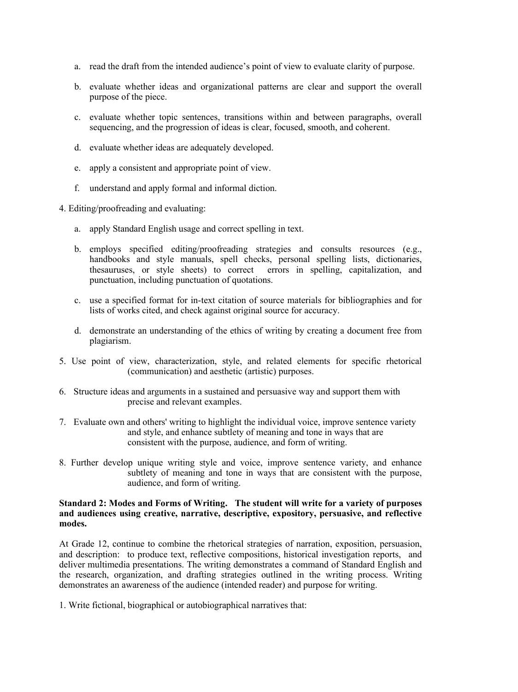- a. read the draft from the intended audience's point of view to evaluate clarity of purpose.
- b. evaluate whether ideas and organizational patterns are clear and support the overall purpose of the piece.
- c. evaluate whether topic sentences, transitions within and between paragraphs, overall sequencing, and the progression of ideas is clear, focused, smooth, and coherent.
- d. evaluate whether ideas are adequately developed.
- e. apply a consistent and appropriate point of view.
- f. understand and apply formal and informal diction.
- 4. Editing/proofreading and evaluating:
	- a. apply Standard English usage and correct spelling in text.
	- b. employs specified editing/proofreading strategies and consults resources (e.g., handbooks and style manuals, spell checks, personal spelling lists, dictionaries, thesauruses, or style sheets) to correct errors in spelling, capitalization, and punctuation, including punctuation of quotations.
	- c. use a specified format for in-text citation of source materials for bibliographies and for lists of works cited, and check against original source for accuracy.
	- d. demonstrate an understanding of the ethics of writing by creating a document free from plagiarism.
- 5. Use point of view, characterization, style, and related elements for specific rhetorical (communication) and aesthetic (artistic) purposes.
- 6. Structure ideas and arguments in a sustained and persuasive way and support them with precise and relevant examples.
- 7. Evaluate own and others' writing to highlight the individual voice, improve sentence variety and style, and enhance subtlety of meaning and tone in ways that are consistent with the purpose, audience, and form of writing.
- 8. Further develop unique writing style and voice, improve sentence variety, and enhance subtlety of meaning and tone in ways that are consistent with the purpose, audience, and form of writing.

#### **Standard 2: Modes and Forms of Writing. The student will write for a variety of purposes and audiences using creative, narrative, descriptive, expository, persuasive, and reflective modes.**

At Grade 12, continue to combine the rhetorical strategies of narration, exposition, persuasion, and description: to produce text, reflective compositions, historical investigation reports, and deliver multimedia presentations. The writing demonstrates a command of Standard English and the research, organization, and drafting strategies outlined in the writing process. Writing demonstrates an awareness of the audience (intended reader) and purpose for writing.

1. Write fictional, biographical or autobiographical narratives that: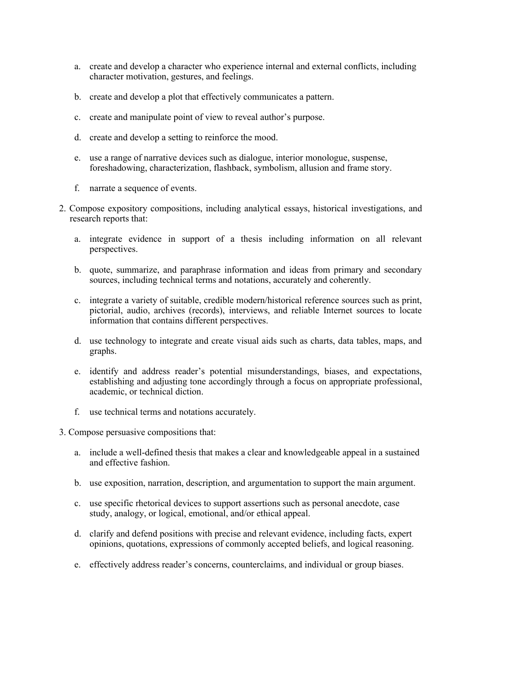- a. create and develop a character who experience internal and external conflicts, including character motivation, gestures, and feelings.
- b. create and develop a plot that effectively communicates a pattern.
- c. create and manipulate point of view to reveal author's purpose.
- d. create and develop a setting to reinforce the mood.
- e. use a range of narrative devices such as dialogue, interior monologue, suspense, foreshadowing, characterization, flashback, symbolism, allusion and frame story.
- f. narrate a sequence of events.
- 2. Compose expository compositions, including analytical essays, historical investigations, and research reports that:
	- a. integrate evidence in support of a thesis including information on all relevant perspectives.
	- b. quote, summarize, and paraphrase information and ideas from primary and secondary sources, including technical terms and notations, accurately and coherently.
	- c. integrate a variety of suitable, credible modern/historical reference sources such as print, pictorial, audio, archives (records), interviews, and reliable Internet sources to locate information that contains different perspectives.
	- d. use technology to integrate and create visual aids such as charts, data tables, maps, and graphs.
	- e. identify and address reader's potential misunderstandings, biases, and expectations, establishing and adjusting tone accordingly through a focus on appropriate professional, academic, or technical diction.
	- f. use technical terms and notations accurately.

3. Compose persuasive compositions that:

- a. include a well-defined thesis that makes a clear and knowledgeable appeal in a sustained and effective fashion.
- b. use exposition, narration, description, and argumentation to support the main argument.
- c. use specific rhetorical devices to support assertions such as personal anecdote, case study, analogy, or logical, emotional, and/or ethical appeal.
- d. clarify and defend positions with precise and relevant evidence, including facts, expert opinions, quotations, expressions of commonly accepted beliefs, and logical reasoning.
- e. effectively address reader's concerns, counterclaims, and individual or group biases.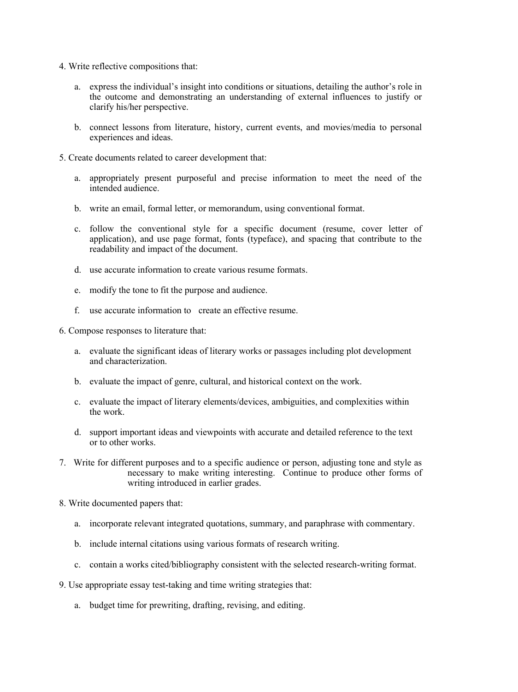- 4. Write reflective compositions that:
	- a. express the individual's insight into conditions or situations, detailing the author's role in the outcome and demonstrating an understanding of external influences to justify or clarify his/her perspective.
	- b. connect lessons from literature, history, current events, and movies/media to personal experiences and ideas.
- 5. Create documents related to career development that:
	- a. appropriately present purposeful and precise information to meet the need of the intended audience.
	- b. write an email, formal letter, or memorandum, using conventional format.
	- c. follow the conventional style for a specific document (resume, cover letter of application), and use page format, fonts (typeface), and spacing that contribute to the readability and impact of the document.
	- d. use accurate information to create various resume formats.
	- e. modify the tone to fit the purpose and audience.
	- f. use accurate information to create an effective resume.

6. Compose responses to literature that:

- a. evaluate the significant ideas of literary works or passages including plot development and characterization.
- b. evaluate the impact of genre, cultural, and historical context on the work.
- c. evaluate the impact of literary elements/devices, ambiguities, and complexities within the work.
- d. support important ideas and viewpoints with accurate and detailed reference to the text or to other works.
- 7. Write for different purposes and to a specific audience or person, adjusting tone and style as necessary to make writing interesting. Continue to produce other forms of writing introduced in earlier grades.
- 8. Write documented papers that:
	- a. incorporate relevant integrated quotations, summary, and paraphrase with commentary.
	- b. include internal citations using various formats of research writing.
	- c. contain a works cited/bibliography consistent with the selected research-writing format.
- 9. Use appropriate essay test-taking and time writing strategies that:
	- a. budget time for prewriting, drafting, revising, and editing.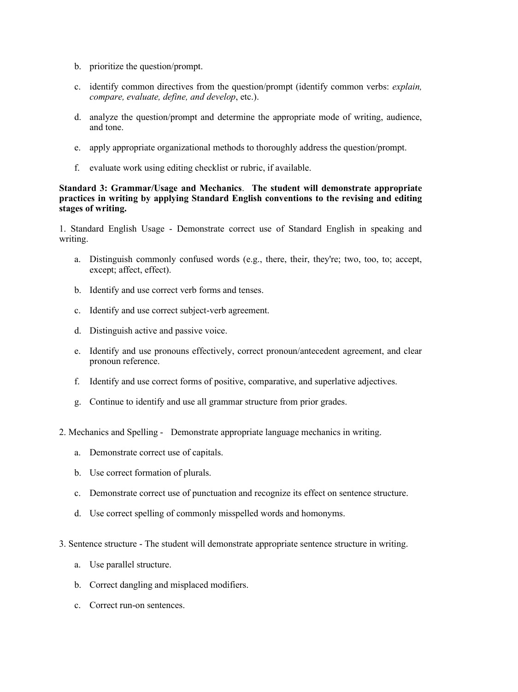- b. prioritize the question/prompt.
- c. identify common directives from the question/prompt (identify common verbs: *explain, compare, evaluate, define, and develop*, etc.).
- d. analyze the question/prompt and determine the appropriate mode of writing, audience, and tone.
- e. apply appropriate organizational methods to thoroughly address the question/prompt.
- f. evaluate work using editing checklist or rubric, if available.

#### **Standard 3: Grammar/Usage and Mechanics**. **The student will demonstrate appropriate practices in writing by applying Standard English conventions to the revising and editing stages of writing.**

1. Standard English Usage - Demonstrate correct use of Standard English in speaking and writing.

- a. Distinguish commonly confused words (e.g., there, their, they're; two, too, to; accept, except; affect, effect).
- b. Identify and use correct verb forms and tenses.
- c. Identify and use correct subject-verb agreement.
- d. Distinguish active and passive voice.
- e. Identify and use pronouns effectively, correct pronoun/antecedent agreement, and clear pronoun reference.
- f. Identify and use correct forms of positive, comparative, and superlative adjectives.
- g. Continue to identify and use all grammar structure from prior grades.
- 2. Mechanics and Spelling Demonstrate appropriate language mechanics in writing.
	- a. Demonstrate correct use of capitals.
	- b. Use correct formation of plurals.
	- c. Demonstrate correct use of punctuation and recognize its effect on sentence structure.
	- d. Use correct spelling of commonly misspelled words and homonyms.
- 3. Sentence structure The student will demonstrate appropriate sentence structure in writing.
	- a. Use parallel structure.
	- b. Correct dangling and misplaced modifiers.
	- c. Correct run-on sentences.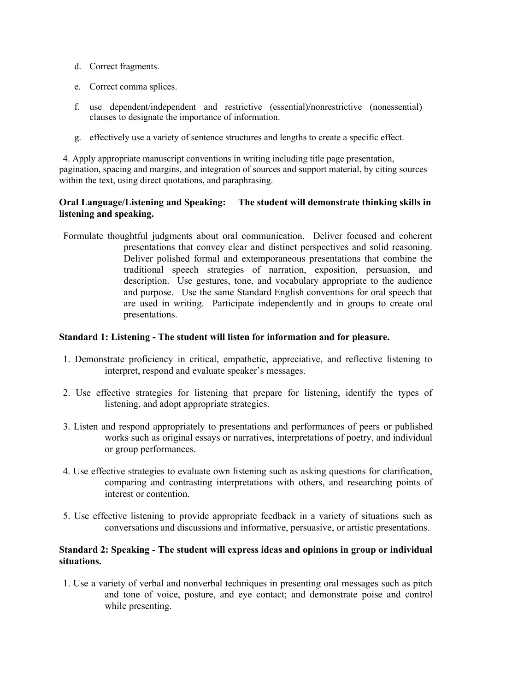- d. Correct fragments.
- e. Correct comma splices.
- f. use dependent/independent and restrictive (essential)/nonrestrictive (nonessential) clauses to designate the importance of information.
- g. effectively use a variety of sentence structures and lengths to create a specific effect.

4. Apply appropriate manuscript conventions in writing including title page presentation, pagination, spacing and margins, and integration of sources and support material, by citing sources within the text, using direct quotations, and paraphrasing.

# **Oral Language/Listening and Speaking: The student will demonstrate thinking skills in listening and speaking.**

Formulate thoughtful judgments about oral communication. Deliver focused and coherent presentations that convey clear and distinct perspectives and solid reasoning. Deliver polished formal and extemporaneous presentations that combine the traditional speech strategies of narration, exposition, persuasion, and description. Use gestures, tone, and vocabulary appropriate to the audience and purpose. Use the same Standard English conventions for oral speech that are used in writing. Participate independently and in groups to create oral presentations.

# **Standard 1: Listening - The student will listen for information and for pleasure.**

- 1. Demonstrate proficiency in critical, empathetic, appreciative, and reflective listening to interpret, respond and evaluate speaker's messages.
- 2. Use effective strategies for listening that prepare for listening, identify the types of listening, and adopt appropriate strategies.
- 3. Listen and respond appropriately to presentations and performances of peers or published works such as original essays or narratives, interpretations of poetry, and individual or group performances.
- 4. Use effective strategies to evaluate own listening such as asking questions for clarification, comparing and contrasting interpretations with others, and researching points of interest or contention.
- 5. Use effective listening to provide appropriate feedback in a variety of situations such as conversations and discussions and informative, persuasive, or artistic presentations.

## **Standard 2: Speaking - The student will express ideas and opinions in group or individual situations.**

 1. Use a variety of verbal and nonverbal techniques in presenting oral messages such as pitch and tone of voice, posture, and eye contact; and demonstrate poise and control while presenting.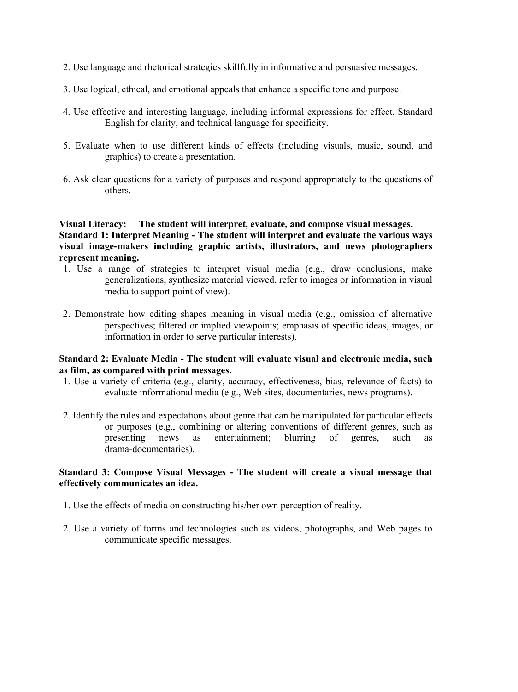- 2. Use language and rhetorical strategies skillfully in informative and persuasive messages.
- 3. Use logical, ethical, and emotional appeals that enhance a specific tone and purpose.
- 4. Use effective and interesting language, including informal expressions for effect, Standard English for clarity, and technical language for specificity.
- 5. Evaluate when to use different kinds of effects (including visuals, music, sound, and graphics) to create a presentation.
- 6. Ask clear questions for a variety of purposes and respond appropriately to the questions of others.

# **Visual Literacy: The student will interpret, evaluate, and compose visual messages. Standard 1: Interpret Meaning - The student will interpret and evaluate the various ways visual image-makers including graphic artists, illustrators, and news photographers represent meaning.**

- 1. Use a range of strategies to interpret visual media (e.g., draw conclusions, make generalizations, synthesize material viewed, refer to images or information in visual media to support point of view).
- 2. Demonstrate how editing shapes meaning in visual media (e.g., omission of alternative perspectives; filtered or implied viewpoints; emphasis of specific ideas, images, or information in order to serve particular interests).

## **Standard 2: Evaluate Media - The student will evaluate visual and electronic media, such as film, as compared with print messages.**

- 1. Use a variety of criteria (e.g., clarity, accuracy, effectiveness, bias, relevance of facts) to evaluate informational media (e.g., Web sites, documentaries, news programs).
- 2. Identify the rules and expectations about genre that can be manipulated for particular effects or purposes (e.g., combining or altering conventions of different genres, such as presenting news as entertainment; blurring of genres, such as drama-documentaries).

# **Standard 3: Compose Visual Messages - The student will create a visual message that effectively communicates an idea.**

- 1. Use the effects of media on constructing his/her own perception of reality.
- 2. Use a variety of forms and technologies such as videos, photographs, and Web pages to communicate specific messages.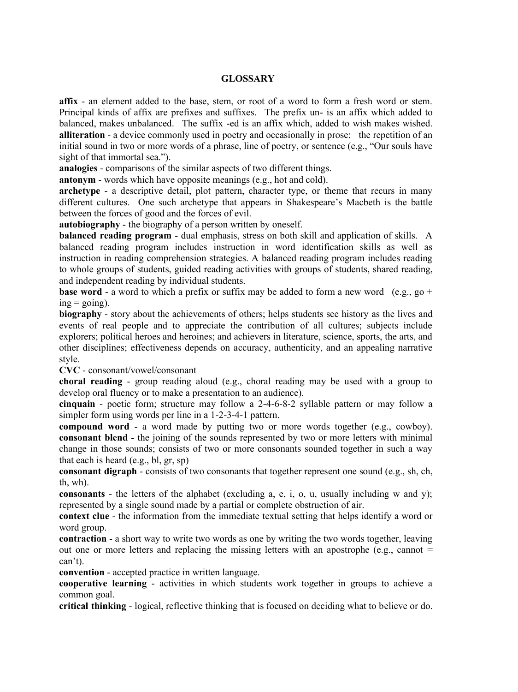## **GLOSSARY**

**affix** - an element added to the base, stem, or root of a word to form a fresh word or stem. Principal kinds of affix are prefixes and suffixes. The prefix un- is an affix which added to balanced, makes unbalanced. The suffix -ed is an affix which, added to wish makes wished. **alliteration** - a device commonly used in poetry and occasionally in prose: the repetition of an initial sound in two or more words of a phrase, line of poetry, or sentence (e.g., "Our souls have sight of that immortal sea.").

**analogies** - comparisons of the similar aspects of two different things.

**antonym** - words which have opposite meanings (e.g., hot and cold).

**archetype** - a descriptive detail, plot pattern, character type, or theme that recurs in many different cultures. One such archetype that appears in Shakespeare's Macbeth is the battle between the forces of good and the forces of evil.

**autobiography** - the biography of a person written by oneself.

**balanced reading program** - dual emphasis, stress on both skill and application of skills. A balanced reading program includes instruction in word identification skills as well as instruction in reading comprehension strategies. A balanced reading program includes reading to whole groups of students, guided reading activities with groups of students, shared reading, and independent reading by individual students.

**base word** - a word to which a prefix or suffix may be added to form a new word (e.g., go +  $ing = going$ ).

**biography** - story about the achievements of others; helps students see history as the lives and events of real people and to appreciate the contribution of all cultures; subjects include explorers; political heroes and heroines; and achievers in literature, science, sports, the arts, and other disciplines; effectiveness depends on accuracy, authenticity, and an appealing narrative style.

**CVC** - consonant/vowel/consonant

**choral reading** - group reading aloud (e.g., choral reading may be used with a group to develop oral fluency or to make a presentation to an audience).

**cinquain** - poetic form; structure may follow a 2-4-6-8-2 syllable pattern or may follow a simpler form using words per line in a 1-2-3-4-1 pattern.

**compound word** - a word made by putting two or more words together (e.g., cowboy). **consonant blend** - the joining of the sounds represented by two or more letters with minimal change in those sounds; consists of two or more consonants sounded together in such a way that each is heard (e.g., bl, gr, sp)

**consonant digraph** - consists of two consonants that together represent one sound (e.g., sh, ch, th, wh).

**consonants** - the letters of the alphabet (excluding a, e, i, o, u, usually including w and y); represented by a single sound made by a partial or complete obstruction of air.

**context clue** - the information from the immediate textual setting that helps identify a word or word group.

**contraction** - a short way to write two words as one by writing the two words together, leaving out one or more letters and replacing the missing letters with an apostrophe (e.g., cannot  $=$ can't).

**convention** - accepted practice in written language.

**cooperative learning** - activities in which students work together in groups to achieve a common goal.

**critical thinking** - logical, reflective thinking that is focused on deciding what to believe or do.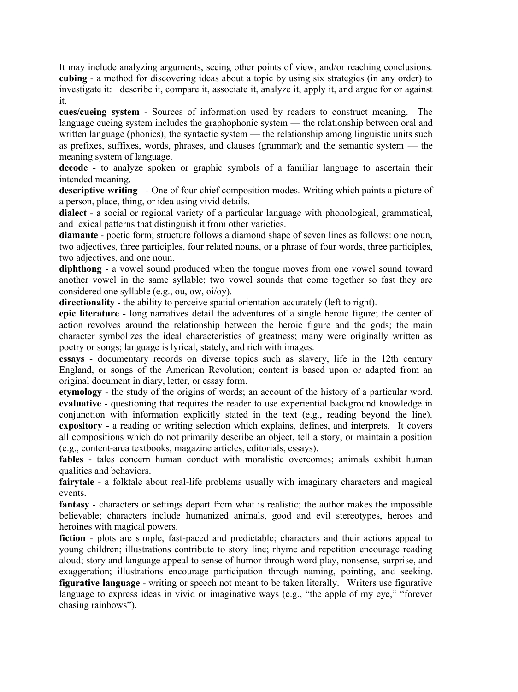It may include analyzing arguments, seeing other points of view, and/or reaching conclusions. **cubing** - a method for discovering ideas about a topic by using six strategies (in any order) to investigate it: describe it, compare it, associate it, analyze it, apply it, and argue for or against it.

**cues/cueing system** - Sources of information used by readers to construct meaning. The language cueing system includes the graphophonic system — the relationship between oral and written language (phonics); the syntactic system — the relationship among linguistic units such as prefixes, suffixes, words, phrases, and clauses (grammar); and the semantic system — the meaning system of language.

**decode** - to analyze spoken or graphic symbols of a familiar language to ascertain their intended meaning.

**descriptive writing** - One of four chief composition modes. Writing which paints a picture of a person, place, thing, or idea using vivid details.

**dialect** - a social or regional variety of a particular language with phonological, grammatical, and lexical patterns that distinguish it from other varieties.

**diamante** - poetic form; structure follows a diamond shape of seven lines as follows: one noun, two adjectives, three participles, four related nouns, or a phrase of four words, three participles, two adjectives, and one noun.

**diphthong** - a vowel sound produced when the tongue moves from one vowel sound toward another vowel in the same syllable; two vowel sounds that come together so fast they are considered one syllable (e.g., ou, ow, oi/oy).

**directionality** - the ability to perceive spatial orientation accurately (left to right).

**epic literature** - long narratives detail the adventures of a single heroic figure; the center of action revolves around the relationship between the heroic figure and the gods; the main character symbolizes the ideal characteristics of greatness; many were originally written as poetry or songs; language is lyrical, stately, and rich with images.

**essays** - documentary records on diverse topics such as slavery, life in the 12th century England, or songs of the American Revolution; content is based upon or adapted from an original document in diary, letter, or essay form.

**etymology** - the study of the origins of words; an account of the history of a particular word. **evaluative** - questioning that requires the reader to use experiential background knowledge in conjunction with information explicitly stated in the text (e.g., reading beyond the line). **expository** - a reading or writing selection which explains, defines, and interprets. It covers all compositions which do not primarily describe an object, tell a story, or maintain a position (e.g., content-area textbooks, magazine articles, editorials, essays).

fables - tales concern human conduct with moralistic overcomes; animals exhibit human qualities and behaviors.

**fairytale** - a folktale about real-life problems usually with imaginary characters and magical events.

**fantasy** - characters or settings depart from what is realistic; the author makes the impossible believable; characters include humanized animals, good and evil stereotypes, heroes and heroines with magical powers.

**fiction** - plots are simple, fast-paced and predictable; characters and their actions appeal to young children; illustrations contribute to story line; rhyme and repetition encourage reading aloud; story and language appeal to sense of humor through word play, nonsense, surprise, and exaggeration; illustrations encourage participation through naming, pointing, and seeking. **figurative language** - writing or speech not meant to be taken literally. Writers use figurative language to express ideas in vivid or imaginative ways (e.g., "the apple of my eye," "forever chasing rainbows").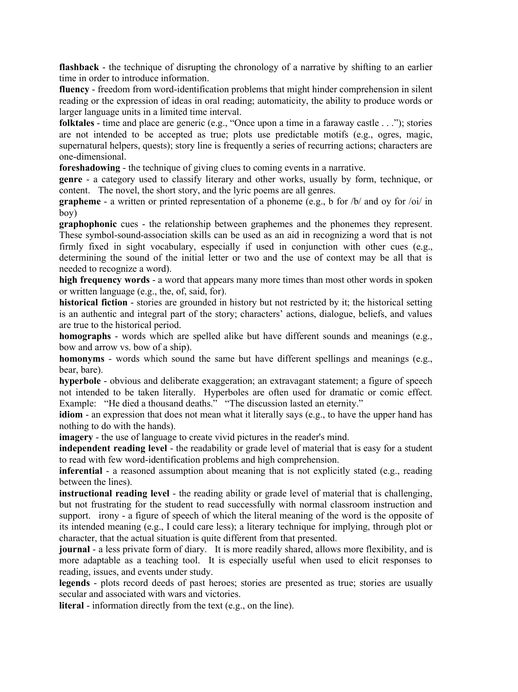**flashback** - the technique of disrupting the chronology of a narrative by shifting to an earlier time in order to introduce information.

**fluency** - freedom from word-identification problems that might hinder comprehension in silent reading or the expression of ideas in oral reading; automaticity, the ability to produce words or larger language units in a limited time interval.

**folktales** - time and place are generic (e.g., "Once upon a time in a faraway castle  $\dots$ "); stories are not intended to be accepted as true; plots use predictable motifs (e.g., ogres, magic, supernatural helpers, quests); story line is frequently a series of recurring actions; characters are one-dimensional.

**foreshadowing** - the technique of giving clues to coming events in a narrative.

**genre** - a category used to classify literary and other works, usually by form, technique, or content. The novel, the short story, and the lyric poems are all genres.

**grapheme** - a written or printed representation of a phoneme (e.g., b for /b/ and oy for /oi/ in boy)

**graphophonic** cues - the relationship between graphemes and the phonemes they represent. These symbol-sound-association skills can be used as an aid in recognizing a word that is not firmly fixed in sight vocabulary, especially if used in conjunction with other cues (e.g., determining the sound of the initial letter or two and the use of context may be all that is needed to recognize a word).

**high frequency words** - a word that appears many more times than most other words in spoken or written language (e.g., the, of, said, for).

**historical fiction** - stories are grounded in history but not restricted by it; the historical setting is an authentic and integral part of the story; characters' actions, dialogue, beliefs, and values are true to the historical period.

**homographs** - words which are spelled alike but have different sounds and meanings (e.g., bow and arrow vs. bow of a ship).

**homonyms** - words which sound the same but have different spellings and meanings (e.g., bear, bare).

**hyperbole** - obvious and deliberate exaggeration; an extravagant statement; a figure of speech not intended to be taken literally. Hyperboles are often used for dramatic or comic effect. Example: "He died a thousand deaths." "The discussion lasted an eternity."

**idiom** - an expression that does not mean what it literally says (e.g., to have the upper hand has nothing to do with the hands).

**imagery** - the use of language to create vivid pictures in the reader's mind.

**independent reading level** - the readability or grade level of material that is easy for a student to read with few word-identification problems and high comprehension.

**inferential** - a reasoned assumption about meaning that is not explicitly stated (e.g., reading between the lines).

**instructional reading level** - the reading ability or grade level of material that is challenging, but not frustrating for the student to read successfully with normal classroom instruction and support. irony - a figure of speech of which the literal meaning of the word is the opposite of its intended meaning (e.g., I could care less); a literary technique for implying, through plot or character, that the actual situation is quite different from that presented.

**journal** - a less private form of diary. It is more readily shared, allows more flexibility, and is more adaptable as a teaching tool. It is especially useful when used to elicit responses to reading, issues, and events under study.

**legends** - plots record deeds of past heroes; stories are presented as true; stories are usually secular and associated with wars and victories.

**literal** - information directly from the text (e.g., on the line).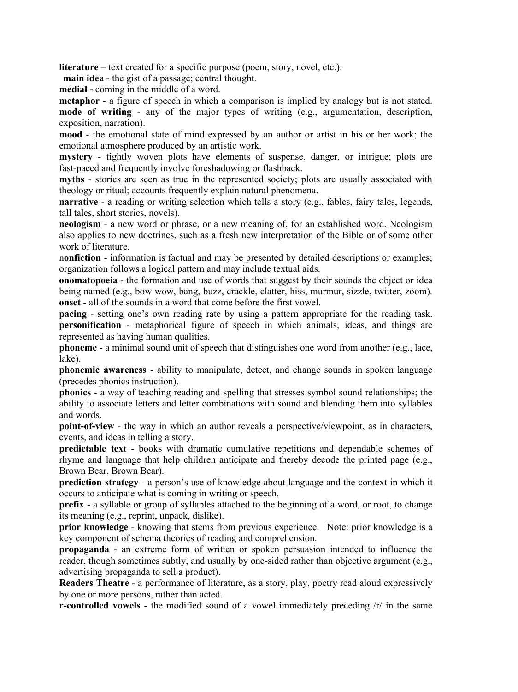**literature** – text created for a specific purpose (poem, story, novel, etc.).

**main idea** - the gist of a passage; central thought.

**medial** - coming in the middle of a word.

**metaphor** - a figure of speech in which a comparison is implied by analogy but is not stated. **mode of writing** - any of the major types of writing (e.g., argumentation, description, exposition, narration).

**mood** - the emotional state of mind expressed by an author or artist in his or her work; the emotional atmosphere produced by an artistic work.

**mystery** - tightly woven plots have elements of suspense, danger, or intrigue; plots are fast-paced and frequently involve foreshadowing or flashback.

**myths** - stories are seen as true in the represented society; plots are usually associated with theology or ritual; accounts frequently explain natural phenomena.

**narrative** - a reading or writing selection which tells a story (e.g., fables, fairy tales, legends, tall tales, short stories, novels).

**neologism** - a new word or phrase, or a new meaning of, for an established word. Neologism also applies to new doctrines, such as a fresh new interpretation of the Bible or of some other work of literature.

n**onfiction** - information is factual and may be presented by detailed descriptions or examples; organization follows a logical pattern and may include textual aids.

**onomatopoeia** - the formation and use of words that suggest by their sounds the object or idea being named (e.g., bow wow, bang, buzz, crackle, clatter, hiss, murmur, sizzle, twitter, zoom). **onset** - all of the sounds in a word that come before the first vowel.

**pacing** - setting one's own reading rate by using a pattern appropriate for the reading task. **personification** - metaphorical figure of speech in which animals, ideas, and things are represented as having human qualities.

**phoneme** - a minimal sound unit of speech that distinguishes one word from another (e.g., lace, lake).

**phonemic awareness** - ability to manipulate, detect, and change sounds in spoken language (precedes phonics instruction).

**phonics** - a way of teaching reading and spelling that stresses symbol sound relationships; the ability to associate letters and letter combinations with sound and blending them into syllables and words.

**point-of-view** - the way in which an author reveals a perspective/viewpoint, as in characters, events, and ideas in telling a story.

**predictable text** - books with dramatic cumulative repetitions and dependable schemes of rhyme and language that help children anticipate and thereby decode the printed page (e.g., Brown Bear, Brown Bear).

**prediction strategy** - a person's use of knowledge about language and the context in which it occurs to anticipate what is coming in writing or speech.

**prefix** - a syllable or group of syllables attached to the beginning of a word, or root, to change its meaning (e.g., reprint, unpack, dislike).

**prior knowledge** - knowing that stems from previous experience. Note: prior knowledge is a key component of schema theories of reading and comprehension.

**propaganda** - an extreme form of written or spoken persuasion intended to influence the reader, though sometimes subtly, and usually by one-sided rather than objective argument (e.g., advertising propaganda to sell a product).

**Readers Theatre** - a performance of literature, as a story, play, poetry read aloud expressively by one or more persons, rather than acted.

**r-controlled vowels** - the modified sound of a vowel immediately preceding  $\pi$  in the same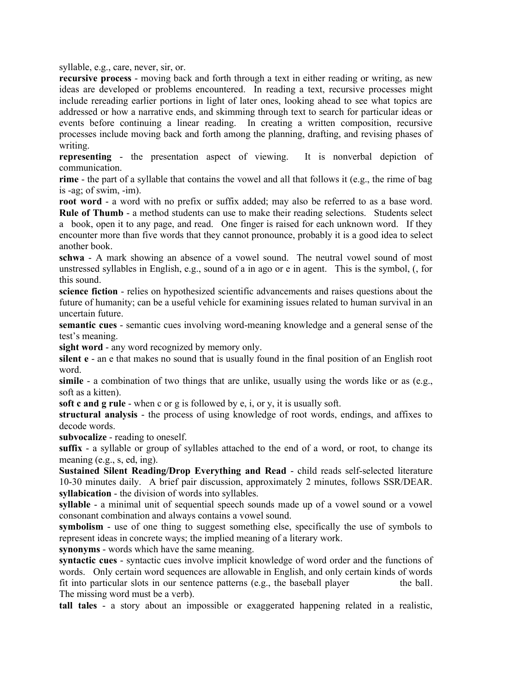syllable, e.g., care, never, sir, or.

**recursive process** - moving back and forth through a text in either reading or writing, as new ideas are developed or problems encountered. In reading a text, recursive processes might include rereading earlier portions in light of later ones, looking ahead to see what topics are addressed or how a narrative ends, and skimming through text to search for particular ideas or events before continuing a linear reading. In creating a written composition, recursive processes include moving back and forth among the planning, drafting, and revising phases of writing.

**representing** - the presentation aspect of viewing. It is nonverbal depiction of communication.

**rime** - the part of a syllable that contains the vowel and all that follows it (e.g., the rime of bag is -ag; of swim, -im).

**root word** - a word with no prefix or suffix added; may also be referred to as a base word. **Rule of Thumb** - a method students can use to make their reading selections. Students select a book, open it to any page, and read. One finger is raised for each unknown word. If they encounter more than five words that they cannot pronounce, probably it is a good idea to select another book.

**schwa** - A mark showing an absence of a vowel sound. The neutral vowel sound of most unstressed syllables in English, e.g., sound of a in ago or e in agent. This is the symbol, (, for this sound.

**science fiction** - relies on hypothesized scientific advancements and raises questions about the future of humanity; can be a useful vehicle for examining issues related to human survival in an uncertain future.

**semantic cues** - semantic cues involving word-meaning knowledge and a general sense of the test's meaning.

**sight word** - any word recognized by memory only.

**silent e** - an e that makes no sound that is usually found in the final position of an English root word.

**simile** - a combination of two things that are unlike, usually using the words like or as (e.g., soft as a kitten).

**soft c and g rule** - when c or g is followed by e, i, or y, it is usually soft.

**structural analysis** - the process of using knowledge of root words, endings, and affixes to decode words.

**subvocalize** - reading to oneself.

**suffix** - a syllable or group of syllables attached to the end of a word, or root, to change its meaning (e.g., s, ed, ing).

**Sustained Silent Reading/Drop Everything and Read** - child reads self-selected literature 10-30 minutes daily. A brief pair discussion, approximately 2 minutes, follows SSR/DEAR. **syllabication** - the division of words into syllables.

**syllable** - a minimal unit of sequential speech sounds made up of a vowel sound or a vowel consonant combination and always contains a vowel sound.

**symbolism** - use of one thing to suggest something else, specifically the use of symbols to represent ideas in concrete ways; the implied meaning of a literary work.

**synonyms** - words which have the same meaning.

**syntactic cues** - syntactic cues involve implicit knowledge of word order and the functions of words. Only certain word sequences are allowable in English, and only certain kinds of words fit into particular slots in our sentence patterns  $(e.g., the baseball player$  the ball. The missing word must be a verb).

**tall tales** - a story about an impossible or exaggerated happening related in a realistic,